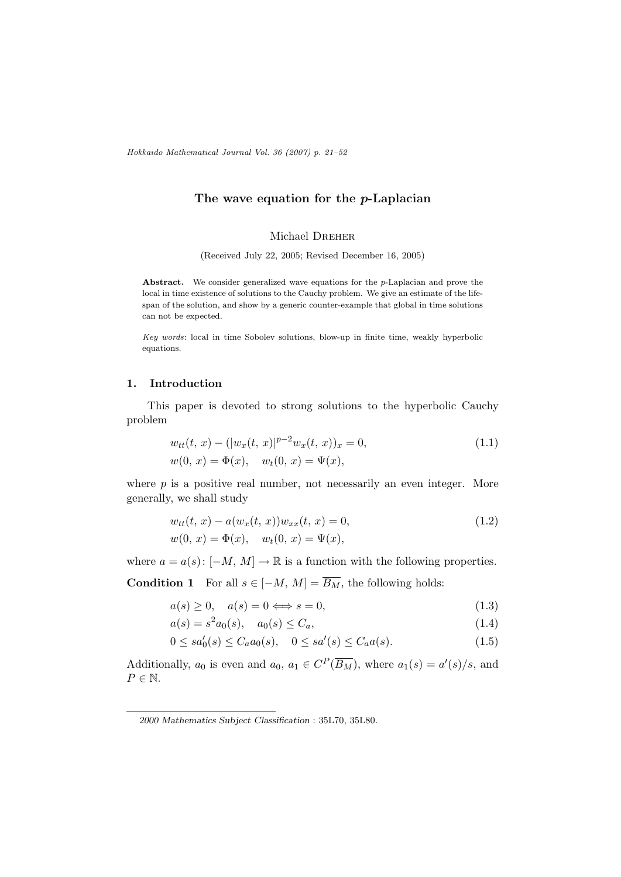Hokkaido Mathematical Journal Vol. 36 (2007) p. 21–52

# The wave equation for the  $p$ -Laplacian

#### Michael DREHER

(Received July 22, 2005; Revised December 16, 2005)

Abstract. We consider generalized wave equations for the p-Laplacian and prove the local in time existence of solutions to the Cauchy problem. We give an estimate of the lifespan of the solution, and show by a generic counter-example that global in time solutions can not be expected.

Key words: local in time Sobolev solutions, blow-up in finite time, weakly hyperbolic equations.

## 1. Introduction

This paper is devoted to strong solutions to the hyperbolic Cauchy problem

$$
w_{tt}(t, x) - (|w_x(t, x)|^{p-2} w_x(t, x))_x = 0,
$$
  
\n
$$
w(0, x) = \Phi(x), \quad w_t(0, x) = \Psi(x),
$$
\n(1.1)

where  $p$  is a positive real number, not necessarily an even integer. More generally, we shall study

$$
w_{tt}(t, x) - a(w_x(t, x))w_{xx}(t, x) = 0,
$$
  
\n
$$
w(0, x) = \Phi(x), \quad w_t(0, x) = \Psi(x),
$$
\n(1.2)

where  $a = a(s)$ :  $[-M, M] \to \mathbb{R}$  is a function with the following properties.

**Condition 1** For all  $s \in [-M, M] = \overline{B_M}$ , the following holds:

$$
a(s) \ge 0, \quad a(s) = 0 \Longleftrightarrow s = 0,
$$
\n
$$
(1.3)
$$

$$
a(s) = s^2 a_0(s), \quad a_0(s) \le C_a,
$$
\n(1.4)

$$
0 \le sa_0'(s) \le C_a a_0(s), \quad 0 \le sa'(s) \le C_a a(s). \tag{1.5}
$$

Additionally,  $a_0$  is even and  $a_0, a_1 \in C^P(\overline{B_M})$ , where  $a_1(s) = a'(s)/s$ , and  $P \in \mathbb{N}$ .

<sup>2000</sup> Mathematics Subject Classification : 35L70, 35L80.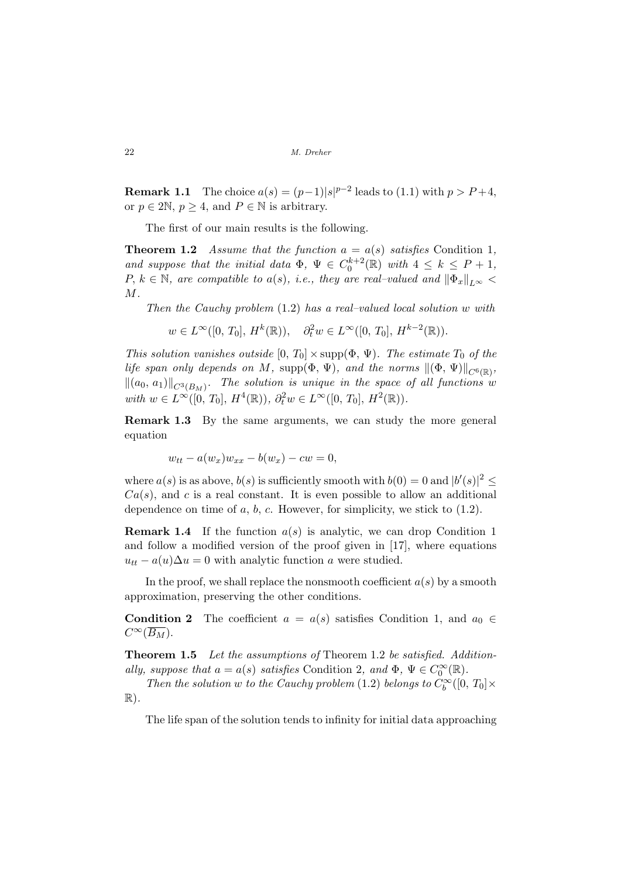**Remark 1.1** The choice  $a(s) = (p-1)|s|^{p-2}$  leads to (1.1) with  $p > P+4$ , or  $p \in 2\mathbb{N}, p \geq 4$ , and  $P \in \mathbb{N}$  is arbitrary.

The first of our main results is the following.

**Theorem 1.2** Assume that the function  $a = a(s)$  satisfies Condition 1, and suppose that the initial data  $\Phi$ ,  $\Psi \in C_0^{k+2}(\mathbb{R})$  with  $4 \leq k \leq P+1$ , P,  $k \in \mathbb{N}$ , are compatible to a(s), i.e., they are real–valued and  $\|\Phi_x\|_{L^{\infty}}$ M.

Then the Cauchy problem (1.2) has a real–valued local solution w with

$$
w \in L^{\infty}([0, T_0], H^k(\mathbb{R})), \quad \partial_t^2 w \in L^{\infty}([0, T_0], H^{k-2}(\mathbb{R})).
$$

This solution vanishes outside  $[0, T_0] \times \text{supp}(\Phi, \Psi)$ . The estimate  $T_0$  of the life span only depends on M, supp $(\Phi, \Psi)$ , and the norms  $\|(\Phi, \Psi)\|_{C^6(\mathbb{R})}$ ,  $\left\|(a_0, a_1)\right\|_{C^3(B_M)}$ . The solution is unique in the space of all functions w with  $w \in L^{\infty}([0, T_0], H^4(\mathbb{R}))$ ,  $\partial_t^2 w \in L^{\infty}([0, T_0], H^2(\mathbb{R}))$ .

Remark 1.3 By the same arguments, we can study the more general equation

$$
w_{tt} - a(w_x)w_{xx} - b(w_x) - cw = 0,
$$

where  $a(s)$  is as above,  $b(s)$  is sufficiently smooth with  $b(0) = 0$  and  $|b'(s)|^2 \le$  $Ca(s)$ , and c is a real constant. It is even possible to allow an additional dependence on time of  $a, b, c$ . However, for simplicity, we stick to  $(1.2)$ .

**Remark 1.4** If the function  $a(s)$  is analytic, we can drop Condition 1 and follow a modified version of the proof given in [17], where equations  $u_{tt} - a(u)\Delta u = 0$  with analytic function a were studied.

In the proof, we shall replace the nonsmooth coefficient  $a(s)$  by a smooth approximation, preserving the other conditions.

**Condition 2** The coefficient  $a = a(s)$  satisfies Condition 1, and  $a_0 \in$  $C^{\infty}(\overline{B_M}).$ 

Theorem 1.5 Let the assumptions of Theorem 1.2 be satisfied. Additionally, suppose that  $a = a(s)$  satisfies Condition 2, and  $\Phi$ ,  $\Psi \in C_0^{\infty}(\mathbb{R})$ .

Then the solution w to the Cauchy problem (1.2) belongs to  $C_b^{\infty}([0, T_0] \times$  $\mathbb{R}$ ).

The life span of the solution tends to infinity for initial data approaching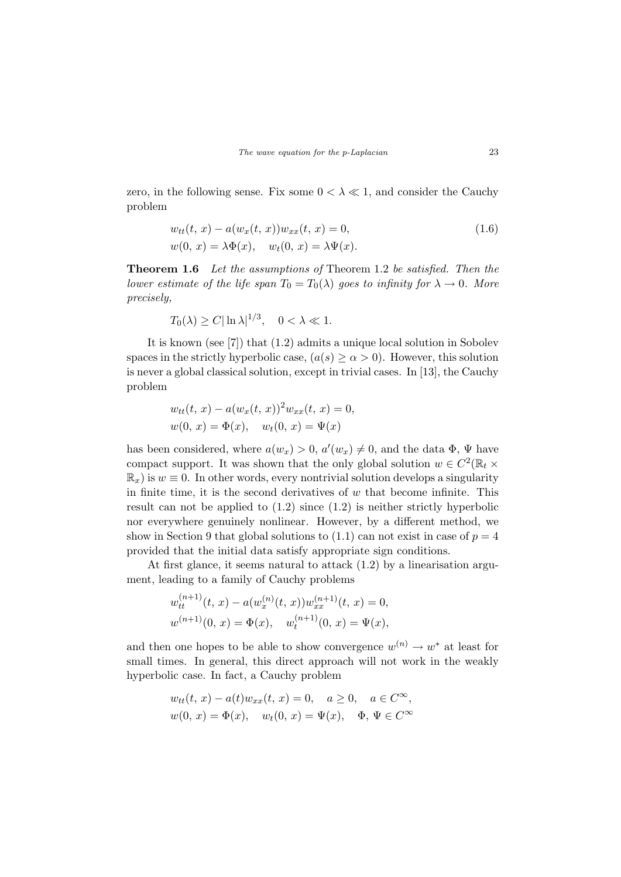zero, in the following sense. Fix some  $0 < \lambda \ll 1$ , and consider the Cauchy problem

$$
w_{tt}(t, x) - a(w_x(t, x))w_{xx}(t, x) = 0,
$$
  
\n
$$
w(0, x) = \lambda \Phi(x), \quad w_t(0, x) = \lambda \Psi(x).
$$
\n(1.6)

Theorem 1.6 Let the assumptions of Theorem 1.2 be satisfied. Then the lower estimate of the life span  $T_0 = T_0(\lambda)$  goes to infinity for  $\lambda \to 0$ . More precisely,

$$
T_0(\lambda) \ge C |\ln \lambda|^{1/3}, \quad 0 < \lambda \ll 1.
$$

It is known (see [7]) that (1.2) admits a unique local solution in Sobolev spaces in the strictly hyperbolic case,  $(a(s) \geq \alpha > 0)$ . However, this solution is never a global classical solution, except in trivial cases. In [13], the Cauchy problem

$$
w_{tt}(t, x) - a(w_x(t, x))^2 w_{xx}(t, x) = 0,
$$
  

$$
w(0, x) = \Phi(x), \quad w_t(0, x) = \Psi(x)
$$

has been considered, where  $a(w_x) > 0$ ,  $a'(w_x) \neq 0$ , and the data  $\Phi$ ,  $\Psi$  have compact support. It was shown that the only global solution  $w \in C^2(\mathbb{R}_t \times$  $\mathbb{R}_x$ ) is  $w \equiv 0$ . In other words, every nontrivial solution develops a singularity in finite time, it is the second derivatives of  $w$  that become infinite. This result can not be applied to  $(1.2)$  since  $(1.2)$  is neither strictly hyperbolic nor everywhere genuinely nonlinear. However, by a different method, we show in Section 9 that global solutions to  $(1.1)$  can not exist in case of  $p = 4$ provided that the initial data satisfy appropriate sign conditions.

At first glance, it seems natural to attack (1.2) by a linearisation argument, leading to a family of Cauchy problems

$$
w_{tt}^{(n+1)}(t, x) - a(w_x^{(n)}(t, x))w_{xx}^{(n+1)}(t, x) = 0,
$$
  

$$
w^{(n+1)}(0, x) = \Phi(x), \quad w_t^{(n+1)}(0, x) = \Psi(x),
$$

and then one hopes to be able to show convergence  $w^{(n)} \to w^*$  at least for small times. In general, this direct approach will not work in the weakly hyperbolic case. In fact, a Cauchy problem

$$
w_{tt}(t, x) - a(t)w_{xx}(t, x) = 0, \quad a \ge 0, \quad a \in C^{\infty},
$$
  

$$
w(0, x) = \Phi(x), \quad w_t(0, x) = \Psi(x), \quad \Phi, \Psi \in C^{\infty}
$$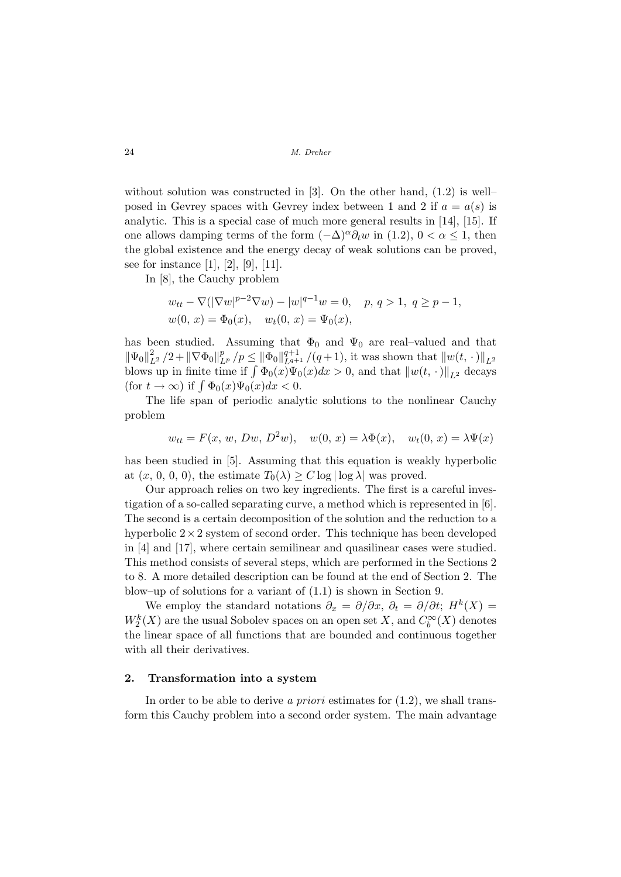without solution was constructed in [3]. On the other hand,  $(1.2)$  is wellposed in Gevrey spaces with Gevrey index between 1 and 2 if  $a = a(s)$  is analytic. This is a special case of much more general results in [14], [15]. If one allows damping terms of the form  $(-\Delta)^{\alpha}\partial_t w$  in (1.2),  $0 < \alpha \leq 1$ , then the global existence and the energy decay of weak solutions can be proved, see for instance [1], [2], [9], [11].

In [8], the Cauchy problem

$$
w_{tt} - \nabla(|\nabla w|^{p-2}\nabla w) - |w|^{q-1}w = 0, \quad p, q > 1, q \ge p - 1,
$$
  

$$
w(0, x) = \Phi_0(x), \quad w_t(0, x) = \Psi_0(x),
$$

has been studied. Assuming that  $\Phi_0$  and  $\Psi_0$  are real-valued and that  $\|\Psi_0\|_{L^2}^2/2 + \|\nabla \Phi_0\|_{L^p}^p/p \le \|\Phi_0\|_{L^{q+1}}^{q+1}/(q+1)$ , it was shown that  $\|w(t, \cdot)\|_{L^2}$ <br>blows up in finite time if  $\int \Phi_0(x)\Psi_0(x)dx > 0$ , and that  $\|w(t, \cdot)\|_{L^2}$  decays blows up in innee time if  $\int \Psi_0(x)\Psi_0(x)dx$ <br>(for  $t \to \infty$ ) if  $\int \Phi_0(x)\Psi_0(x)dx < 0$ .

The life span of periodic analytic solutions to the nonlinear Cauchy problem

$$
w_{tt} = F(x, w, Dw, D^2w), \quad w(0, x) = \lambda \Phi(x), \quad w_t(0, x) = \lambda \Psi(x)
$$

has been studied in [5]. Assuming that this equation is weakly hyperbolic at  $(x, 0, 0, 0)$ , the estimate  $T_0(\lambda) \geq C \log |\log \lambda|$  was proved.

Our approach relies on two key ingredients. The first is a careful investigation of a so-called separating curve, a method which is represented in [6]. The second is a certain decomposition of the solution and the reduction to a hyperbolic  $2 \times 2$  system of second order. This technique has been developed in [4] and [17], where certain semilinear and quasilinear cases were studied. This method consists of several steps, which are performed in the Sections 2 to 8. A more detailed description can be found at the end of Section 2. The blow–up of solutions for a variant of (1.1) is shown in Section 9.

We employ the standard notations  $\partial_x = \partial/\partial x$ ,  $\partial_t = \partial/\partial t$ ;  $H^k(X) =$  $W_2^k(X)$  are the usual Sobolev spaces on an open set X, and  $C_b^{\infty}(X)$  denotes the linear space of all functions that are bounded and continuous together with all their derivatives.

### 2. Transformation into a system

In order to be able to derive a *priori* estimates for  $(1.2)$ , we shall transform this Cauchy problem into a second order system. The main advantage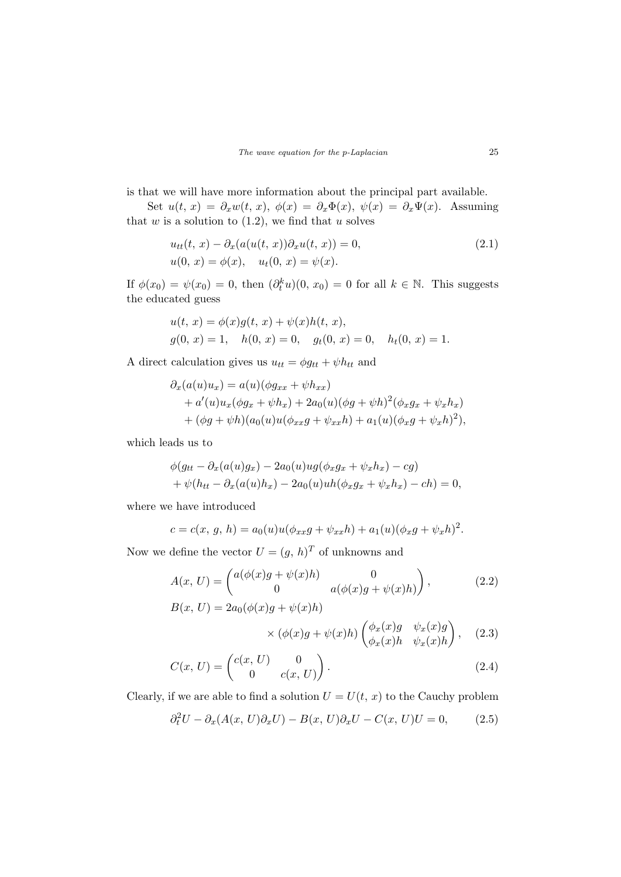is that we will have more information about the principal part available.

Set  $u(t, x) = \partial_x w(t, x), \phi(x) = \partial_x \Phi(x), \psi(x) = \partial_x \Psi(x)$ . Assuming that  $w$  is a solution to  $(1.2)$ , we find that  $u$  solves

$$
u_{tt}(t, x) - \partial_x(a(u(t, x))\partial_x u(t, x)) = 0,
$$
  
 
$$
u(0, x) = \phi(x), \quad u_t(0, x) = \psi(x).
$$
 (2.1)

If  $\phi(x_0) = \psi(x_0) = 0$ , then  $(\partial_t^k u)(0, x_0) = 0$  for all  $k \in \mathbb{N}$ . This suggests the educated guess

$$
u(t, x) = \phi(x)g(t, x) + \psi(x)h(t, x),
$$
  
 
$$
g(0, x) = 1, \quad h(0, x) = 0, \quad g_t(0, x) = 0, \quad h_t(0, x) = 1.
$$

A direct calculation gives us  $u_{tt} = \phi g_{tt} + \psi h_{tt}$  and

$$
\partial_x(a(u)u_x) = a(u)(\phi g_{xx} + \psi h_{xx}) \n+ a'(u)u_x(\phi g_x + \psi h_x) + 2a_0(u)(\phi g + \psi h)^2(\phi_x g_x + \psi_x h_x) \n+ (\phi g + \psi h)(a_0(u)u(\phi_{xx}g + \psi_{xx}h) + a_1(u)(\phi_x g + \psi_x h)^2),
$$

which leads us to

$$
\phi(g_{tt} - \partial_x(a(u)g_x) - 2a_0(u)ug(\phi_x g_x + \psi_x h_x) - cg)
$$
  
+ 
$$
\psi(h_{tt} - \partial_x(a(u)h_x) - 2a_0(u)uh(\phi_x g_x + \psi_x h_x) - ch) = 0,
$$

where we have introduced

$$
c = c(x, g, h) = a_0(u)u(\phi_{xx}g + \psi_{xx}h) + a_1(u)(\phi_xg + \psi_xh)^2.
$$

Now we define the vector  $U = (g, h)^T$  of unknowns and

$$
A(x, U) = \begin{pmatrix} a(\phi(x)g + \psi(x)h) & 0\\ 0 & a(\phi(x)g + \psi(x)h) \end{pmatrix},
$$
(2.2)  

$$
B(x, U) = 2a_0(\phi(x)g + \psi(x)h)
$$

$$
\times (\phi(x)g + \psi(x)h) \begin{pmatrix} \phi_x(x)g & \psi_x(x)g \\ \phi_x(x)h & \psi_x(x)h \end{pmatrix}, \quad (2.3)
$$

$$
C(x, U) = \begin{pmatrix} c(x, U) & 0 \\ 0 & c(x, U) \end{pmatrix}.
$$
 (2.4)

Clearly, if we are able to find a solution  $U = U(t, x)$  to the Cauchy problem

$$
\partial_t^2 U - \partial_x (A(x, U)\partial_x U) - B(x, U)\partial_x U - C(x, U)U = 0,\tag{2.5}
$$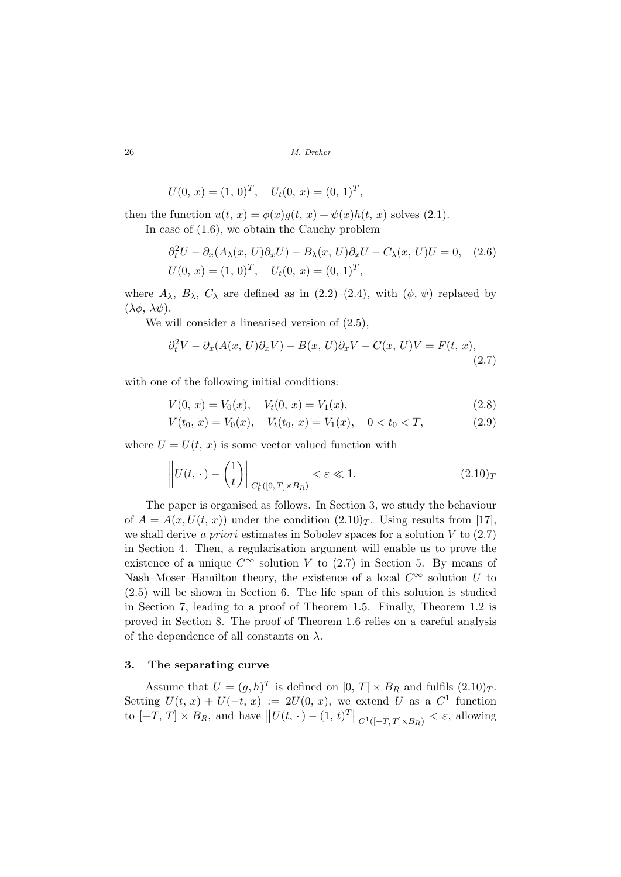$$
U(0, x) = (1, 0)T, \quad Ut(0, x) = (0, 1)T,
$$

then the function  $u(t, x) = \phi(x)g(t, x) + \psi(x)h(t, x)$  solves (2.1).

In case of (1.6), we obtain the Cauchy problem

$$
\partial_t^2 U - \partial_x (A_\lambda(x, U)\partial_x U) - B_\lambda(x, U)\partial_x U - C_\lambda(x, U)U = 0, \quad (2.6)
$$
  
 
$$
U(0, x) = (1, 0)^T, \quad U_t(0, x) = (0, 1)^T,
$$

where  $A_{\lambda}$ ,  $B_{\lambda}$ ,  $C_{\lambda}$  are defined as in (2.2)–(2.4), with  $(\phi, \psi)$  replaced by  $(\lambda \phi, \lambda \psi).$ 

We will consider a linearised version of (2.5),

$$
\partial_t^2 V - \partial_x (A(x, U)\partial_x V) - B(x, U)\partial_x V - C(x, U)V = F(t, x),\tag{2.7}
$$

with one of the following initial conditions:

$$
V(0, x) = V_0(x), \quad V_t(0, x) = V_1(x), \tag{2.8}
$$

$$
V(t_0, x) = V_0(x), \quad V_t(t_0, x) = V_1(x), \quad 0 < t_0 < T,\tag{2.9}
$$

where  $U = U(t, x)$  is some vector valued function with

$$
\left\| U(t,\,\cdot\,) - \begin{pmatrix} 1 \\ t \end{pmatrix} \right\|_{C_b^1([0,T]\times B_R)} < \varepsilon \ll 1. \tag{2.10}_T
$$

The paper is organised as follows. In Section 3, we study the behaviour of  $A = A(x, U(t, x))$  under the condition  $(2.10)<sub>T</sub>$ . Using results from [17], we shall derive a priori estimates in Sobolev spaces for a solution  $V$  to  $(2.7)$ in Section 4. Then, a regularisation argument will enable us to prove the existence of a unique  $C^{\infty}$  solution V to (2.7) in Section 5. By means of Nash–Moser–Hamilton theory, the existence of a local  $C^{\infty}$  solution U to (2.5) will be shown in Section 6. The life span of this solution is studied in Section 7, leading to a proof of Theorem 1.5. Finally, Theorem 1.2 is proved in Section 8. The proof of Theorem 1.6 relies on a careful analysis of the dependence of all constants on  $\lambda$ .

## 3. The separating curve

Assume that  $U = (g, h)^T$  is defined on  $[0, T] \times B_R$  and fulfils  $(2.10)_T$ . Setting  $U(t, x) + U(-t, x) := 2U(0, x)$ , we extend U as a  $C^1$  function to  $[-T, T] \times B_R$ , and have  $||U(t, \cdot) - (1, t)^T||_{C^{1}([-T, T] \times B_R)} < \varepsilon$ , allowing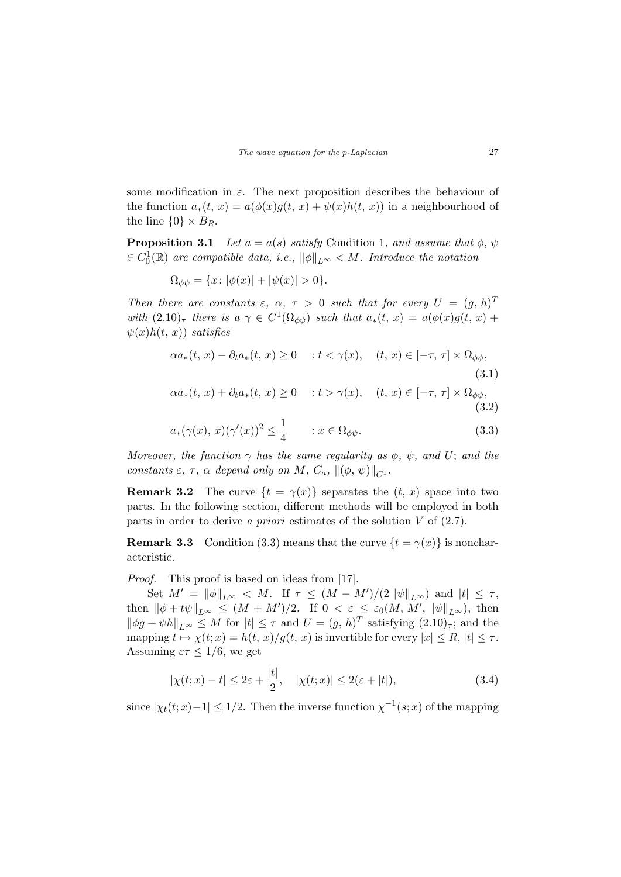some modification in  $\varepsilon$ . The next proposition describes the behaviour of the function  $a_*(t, x) = a(\phi(x)g(t, x) + \psi(x)h(t, x))$  in a neighbourhood of the line  $\{0\} \times B_R$ .

**Proposition 3.1** Let  $a = a(s)$  satisfy Condition 1, and assume that  $\phi$ ,  $\psi$  $\in C_0^1(\mathbb{R})$  are compatible data, i.e.,  $\|\phi\|_{L^{\infty}} < M$ . Introduce the notation

$$
\Omega_{\phi\psi} = \{x \colon |\phi(x)| + |\psi(x)| > 0\}.
$$

Then there are constants  $\varepsilon$ ,  $\alpha$ ,  $\tau > 0$  such that for every  $U = (g, h)^T$ with  $(2.10)_{\tau}$  there is  $a \gamma \in C^{1}(\Omega_{\phi\psi})$  such that  $a_{*}(t, x) = a(\phi(x)g(t, x) +$  $\psi(x)h(t, x)$  satisfies

$$
\alpha a_*(t, x) - \partial_t a_*(t, x) \ge 0 \quad : t < \gamma(x), \quad (t, x) \in [-\tau, \tau] \times \Omega_{\phi\psi},\tag{3.1}
$$

$$
\alpha a_*(t, x) + \partial_t a_*(t, x) \ge 0 \quad : t > \gamma(x), \quad (t, x) \in [-\tau, \tau] \times \Omega_{\phi\psi},\tag{3.2}
$$

$$
a_*(\gamma(x), x)(\gamma'(x))^2 \le \frac{1}{4} \qquad : x \in \Omega_{\phi\psi}.\tag{3.3}
$$

Moreover, the function  $\gamma$  has the same regularity as  $\phi$ ,  $\psi$ , and U; and the constants  $\varepsilon$ ,  $\tau$ ,  $\alpha$  depend only on M,  $C_a$ ,  $\|(\phi, \psi)\|_{C^1}$ .

**Remark 3.2** The curve  $\{t = \gamma(x)\}\$  separates the  $(t, x)$  space into two parts. In the following section, different methods will be employed in both parts in order to derive a *priori* estimates of the solution  $V$  of  $(2.7)$ .

**Remark 3.3** Condition (3.3) means that the curve  $\{t = \gamma(x)\}\$ is noncharacteristic.

Proof. This proof is based on ideas from [17].

Set  $M' = ||\phi||_{L^{\infty}} < M$ . If  $\tau \leq (M - M')/(2 ||\psi||_{L^{\infty}})$  and  $|t| \leq \tau$ , then  $\|\phi + t\psi\|_{L^{\infty}} \leq (M + M')/2$ . If  $0 < \varepsilon \leq \varepsilon_0(M, M', \|\psi\|_{L^{\infty}})$ , then  $\|\phi g + \psi h\|_{L^{\infty}} \leq M$  for  $|t| \leq \tau$  and  $U = (g, h)^T$  satisfying  $(2.10)_{\tau}$ ; and the mapping  $t \mapsto \chi(t; x) = h(t, x)/g(t, x)$  is invertible for every  $|x| \le R$ ,  $|t| \le \tau$ . Assuming  $\varepsilon \tau \leq 1/6$ , we get

$$
|\chi(t;x) - t| \le 2\varepsilon + \frac{|t|}{2}, \quad |\chi(t;x)| \le 2(\varepsilon + |t|), \tag{3.4}
$$

since  $|\chi_t(t;x)-1| \leq 1/2$ . Then the inverse function  $\chi^{-1}(s;x)$  of the mapping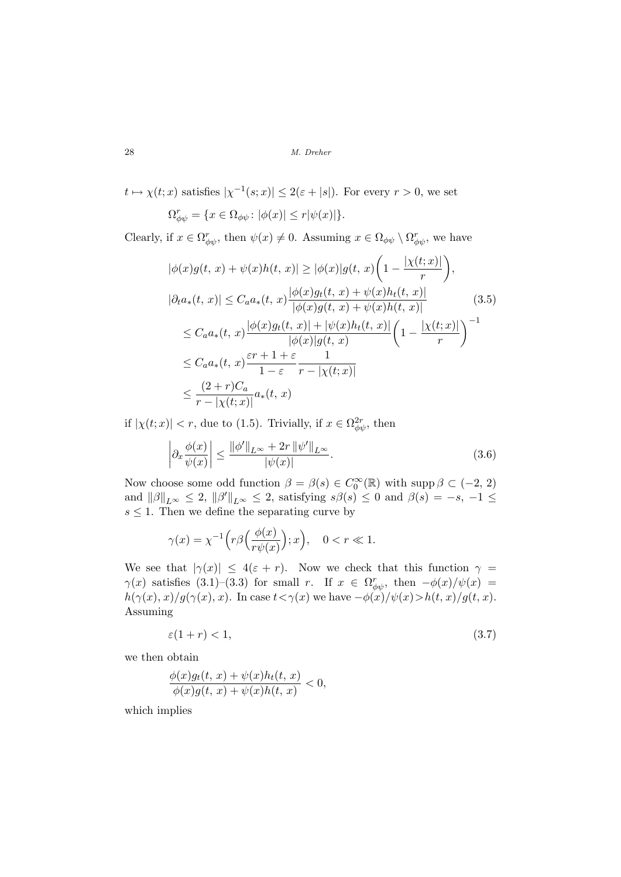$t \mapsto \chi(t; x)$  satisfies  $|\chi^{-1}(s; x)| \leq 2(\varepsilon + |s|)$ . For every  $r > 0$ , we set

$$
\Omega_{\phi\psi}^r = \{ x \in \Omega_{\phi\psi} \colon |\phi(x)| \le r |\psi(x)| \}.
$$

Clearly, if  $x \in \Omega_{\phi\psi}^r$ , then  $\psi(x) \neq 0$ . Assuming  $x \in \Omega_{\phi\psi} \setminus \Omega_{\phi\psi}^r$ , we have

$$
|\phi(x)g(t, x) + \psi(x)h(t, x)| \geq |\phi(x)|g(t, x)\left(1 - \frac{|\chi(t; x)|}{r}\right),
$$
  
\n
$$
|\partial_t a_*(t, x)| \leq C_a a_*(t, x)\frac{|\phi(x)g_t(t, x) + \psi(x)h_t(t, x)|}{|\phi(x)g(t, x) + \psi(x)h(t, x)|}
$$
(3.5)  
\n
$$
\leq C_a a_*(t, x)\frac{|\phi(x)g_t(t, x)| + |\psi(x)h_t(t, x)|}{|\phi(x)|g(t, x)}\left(1 - \frac{|\chi(t; x)|}{r}\right)^{-1}
$$
  
\n
$$
\leq C_a a_*(t, x)\frac{\varepsilon r + 1 + \varepsilon}{1 - \varepsilon} \frac{1}{r - |\chi(t; x)|}
$$
  
\n
$$
\leq \frac{(2+r)C_a}{r - |\chi(t; x)|} a_*(t, x)
$$

if  $|\chi(t; x)| < r$ , due to (1.5). Trivially, if  $x \in \Omega_{\phi\psi}^{2r}$ , then

$$
\left| \partial_x \frac{\phi(x)}{\psi(x)} \right| \le \frac{\|\phi'\|_{L^\infty} + 2r \|\psi'\|_{L^\infty}}{|\psi(x)|}.
$$
\n(3.6)

Now choose some odd function  $\beta = \beta(s) \in C_0^{\infty}(\mathbb{R})$  with supp  $\beta \subset (-2, 2)$ and  $\|\beta\|_{L^{\infty}} \leq 2$ ,  $\|\beta'\|_{L^{\infty}} \leq 2$ , satisfying  $s\beta(s) \leq 0$  and  $\beta(s) = -s, -1 \leq$  $s \leq 1$ . Then we define the separating curve by

$$
\gamma(x) = \chi^{-1}\Big(r\beta\Big(\frac{\phi(x)}{r\psi(x)}\Big);x\Big), \quad 0 < r \ll 1.
$$

We see that  $|\gamma(x)| \leq 4(\varepsilon + r)$ . Now we check that this function  $\gamma =$  $\gamma(x)$  satisfies (3.1)–(3.3) for small r. If  $x \in \Omega_{\phi\psi}^r$ , then  $-\phi(x)/\psi(x)$  =  $h(\gamma(x), x)/g(\gamma(x), x)$ . In case  $t < \gamma(x)$  we have  $-\phi(x)/\psi(x) > h(t, x)/g(t, x)$ . Assuming

$$
\varepsilon(1+r) < 1,\tag{3.7}
$$

we then obtain

$$
\frac{\phi(x)g_t(t, x) + \psi(x)h_t(t, x)}{\phi(x)g(t, x) + \psi(x)h(t, x)} < 0,
$$

which implies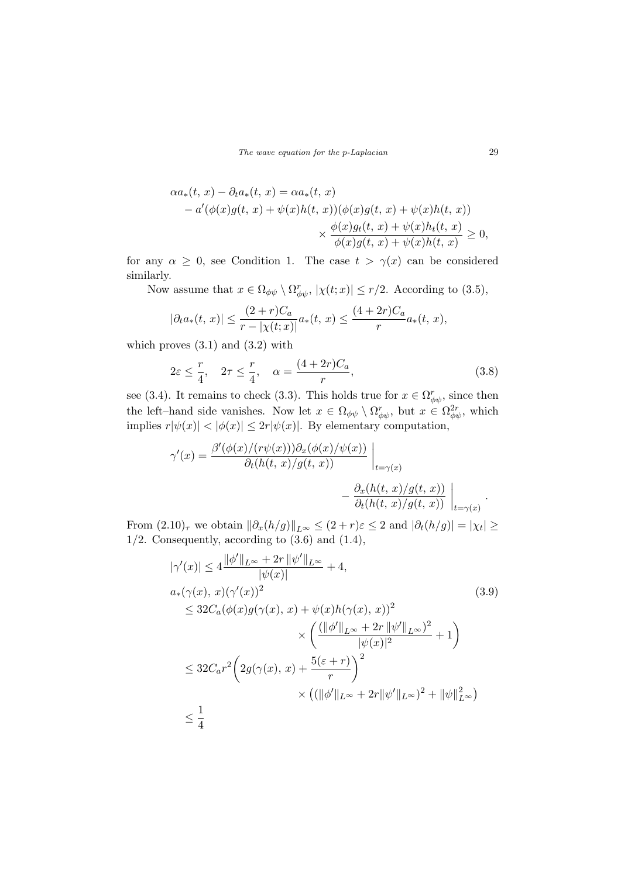The wave equation for the p-Laplacian 29

$$
\alpha a_*(t, x) - \partial_t a_*(t, x) = \alpha a_*(t, x)
$$
  
-  $a'(\phi(x)g(t, x) + \psi(x)h(t, x))(\phi(x)g(t, x) + \psi(x)h(t, x))$   
 $\times \frac{\phi(x)g_t(t, x) + \psi(x)h_t(t, x)}{\phi(x)g(t, x) + \psi(x)h(t, x)} \ge 0,$ 

for any  $\alpha \geq 0$ , see Condition 1. The case  $t > \gamma(x)$  can be considered similarly.

Now assume that  $x \in \Omega_{\phi\psi} \setminus \Omega_{\phi\psi}^r$ ,  $|\chi(t;x)| \leq r/2$ . According to (3.5),

$$
|\partial_t a_*(t, x)| \le \frac{(2+r)C_a}{r - |\chi(t, x)|} a_*(t, x) \le \frac{(4+2r)C_a}{r} a_*(t, x),
$$

which proves  $(3.1)$  and  $(3.2)$  with

$$
2\varepsilon \le \frac{r}{4}, \quad 2\tau \le \frac{r}{4}, \quad \alpha = \frac{(4+2r)C_a}{r},\tag{3.8}
$$

see (3.4). It remains to check (3.3). This holds true for  $x \in \Omega_{\phi\psi}^r$ , since then the left–hand side vanishes. Now let  $x \in \Omega_{\phi\psi} \setminus \Omega_{\phi\psi}^r$ , but  $x \in \Omega_{\phi\psi}^{2r}$ , which implies  $r|\psi(x)| < |\phi(x)| \leq 2r|\psi(x)|$ . By elementary computation,

$$
\gamma'(x) = \frac{\beta'(\phi(x)/(r\psi(x)))\partial_x(\phi(x)/\psi(x))}{\partial_t(h(t, x)/g(t, x))}\Big|_{t=\gamma(x)} - \frac{\partial_x(h(t, x)/g(t, x))}{\partial_t(h(t, x)/g(t, x))}\Big|_{t=\gamma(x)}.
$$

From  $(2.10)_{\tau}$  we obtain  $\|\partial_x(h/g)\|_{L^{\infty}} \leq (2+r)\varepsilon \leq 2$  and  $|\partial_t(h/g)| = |\chi_t| \geq$  $1/2$ . Consequently, according to  $(3.6)$  and  $(1.4)$ ,

$$
|\gamma'(x)| \le 4 \frac{\|\phi'\|_{L^{\infty}} + 2r \|\psi'\|_{L^{\infty}}}{|\psi(x)|} + 4,
$$
  
\n
$$
a_*(\gamma(x), x)(\gamma'(x))^2
$$
\n
$$
\le 32C_a(\phi(x)g(\gamma(x), x) + \psi(x)h(\gamma(x), x))^2
$$
\n
$$
\times \left(\frac{(\|\phi'\|_{L^{\infty}} + 2r \|\psi'\|_{L^{\infty}})^2}{|\psi(x)|^2} + 1\right)
$$
\n
$$
\le 32C_a r^2 \left(2g(\gamma(x), x) + \frac{5(\varepsilon + r)}{r}\right)^2
$$
\n
$$
\times ((\|\phi'\|_{L^{\infty}} + 2r \|\psi'\|_{L^{\infty}})^2 + \|\psi\|_{L^{\infty}}^2)
$$
\n
$$
\le \frac{1}{4}
$$
\n(8.14)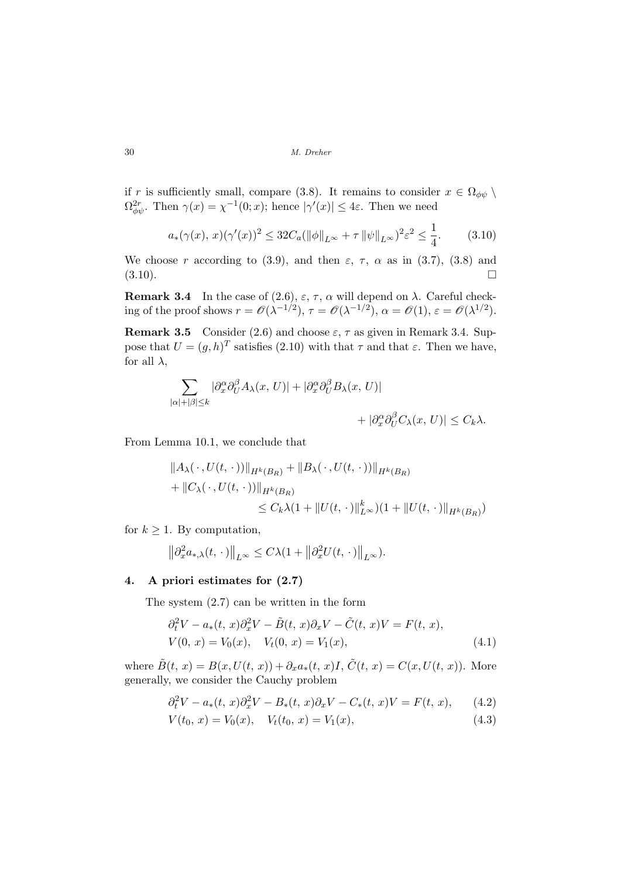if r is sufficiently small, compare (3.8). It remains to consider  $x \in \Omega_{\phi\psi} \setminus$  $\Omega_{\phi\psi}^{2r}$ . Then  $\gamma(x) = \chi^{-1}(0; x)$ ; hence  $|\gamma'(x)| \leq 4\varepsilon$ . Then we need

$$
a_*(\gamma(x), x)(\gamma'(x))^2 \le 32C_a(\|\phi\|_{L^\infty} + \tau \|\psi\|_{L^\infty})^2 \varepsilon^2 \le \frac{1}{4}.\tag{3.10}
$$

We choose r according to (3.9), and then  $\varepsilon$ ,  $\tau$ ,  $\alpha$  as in (3.7), (3.8) and  $(3.10).$ 

**Remark 3.4** In the case of (2.6),  $\varepsilon$ ,  $\tau$ ,  $\alpha$  will depend on  $\lambda$ . Careful checking of the proof shows  $r = \mathcal{O}(\lambda^{-1/2}), \tau = \mathcal{O}(\lambda^{-1/2}), \alpha = \mathcal{O}(1), \varepsilon = \mathcal{O}(\lambda^{1/2}).$ 

**Remark 3.5** Consider (2.6) and choose  $\varepsilon$ ,  $\tau$  as given in Remark 3.4. Suppose that  $U = (g, h)^T$  satisfies (2.10) with that  $\tau$  and that  $\varepsilon$ . Then we have, for all  $\lambda$ ,

$$
\sum_{|\alpha|+|\beta|\leq k} |\partial_x^{\alpha} \partial_U^{\beta} A_{\lambda}(x, U)| + |\partial_x^{\alpha} \partial_U^{\beta} B_{\lambda}(x, U)|
$$
  
+ 
$$
|\partial_x^{\alpha} \partial_U^{\beta} C_{\lambda}(x, U)| \leq C_k \lambda.
$$

From Lemma 10.1, we conclude that

$$
||A_{\lambda}(\cdot, U(t, \cdot))||_{H^{k}(B_{R})} + ||B_{\lambda}(\cdot, U(t, \cdot))||_{H^{k}(B_{R})}
$$
  
+ 
$$
||C_{\lambda}(\cdot, U(t, \cdot))||_{H^{k}(B_{R})}
$$
  

$$
\leq C_{k}\lambda(1+||U(t, \cdot)||_{L^{\infty}}^{k})(1+||U(t, \cdot)||_{H^{k}(B_{R})})
$$

for  $k \geq 1$ . By computation,

$$
\left\|\partial_x^2 a_{*,\lambda}(t,\,\cdot\,)\right\|_{L^\infty} \leq C\lambda(1+\left\|\partial_x^2 U(t,\,\cdot\,)\right\|_{L^\infty}).
$$

### 4. A priori estimates for (2.7)

The system (2.7) can be written in the form

$$
\partial_t^2 V - a_*(t, x) \partial_x^2 V - \tilde{B}(t, x) \partial_x V - \tilde{C}(t, x) V = F(t, x),
$$
  
\n
$$
V(0, x) = V_0(x), \quad V_t(0, x) = V_1(x), \tag{4.1}
$$

where  $\tilde{B}(t, x) = B(x, U(t, x)) + \partial_x a_*(t, x)I$ ,  $\tilde{C}(t, x) = C(x, U(t, x))$ . More generally, we consider the Cauchy problem

$$
\partial_t^2 V - a_*(t, x)\partial_x^2 V - B_*(t, x)\partial_x V - C_*(t, x)V = F(t, x), \qquad (4.2)
$$

$$
V(t_0, x) = V_0(x), \quad V_t(t_0, x) = V_1(x), \tag{4.3}
$$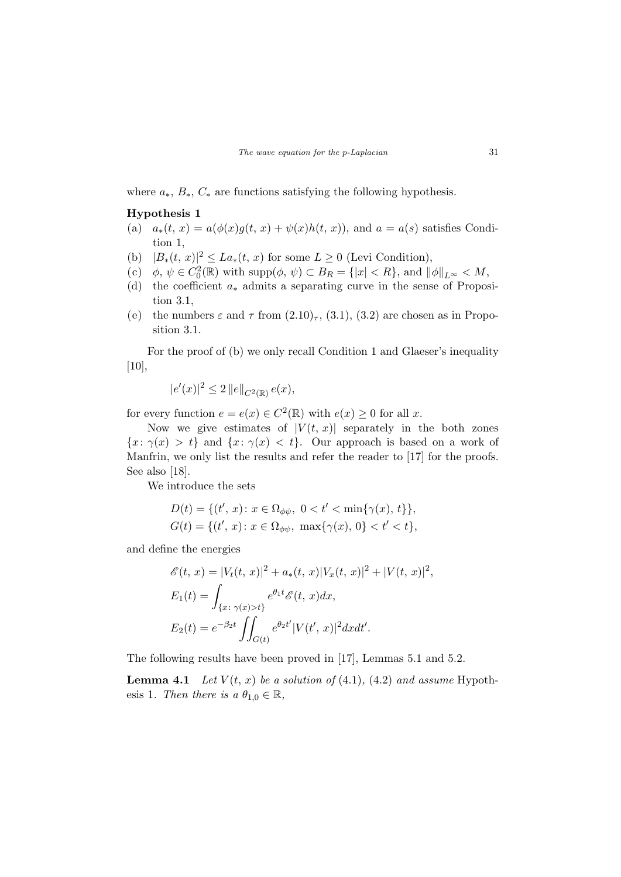where  $a_*, B_*, C_*$  are functions satisfying the following hypothesis.

### Hypothesis 1

- (a)  $a_*(t, x) = a(\phi(x)g(t, x) + \psi(x)h(t, x))$ , and  $a = a(s)$  satisfies Condition 1,
- (b)  $|B_*(t, x)|^2 \leq La_*(t, x)$  for some  $L \geq 0$  (Levi Condition),
- (c)  $\phi, \psi \in C_0^2(\mathbb{R})$  with supp $(\phi, \psi) \subset B_R = \{|x| < R\}$ , and  $\|\phi\|_{L^\infty} < M$ ,
- (d) the coefficient  $a_*$  admits a separating curve in the sense of Proposition 3.1,
- (e) the numbers  $\varepsilon$  and  $\tau$  from  $(2.10)_{\tau}$ ,  $(3.1)$ ,  $(3.2)$  are chosen as in Proposition 3.1.

For the proof of (b) we only recall Condition 1 and Glaeser's inequality [10],

$$
|e'(x)|^2 \le 2 ||e||_{C^2(\mathbb{R})} e(x),
$$

for every function  $e = e(x) \in C^2(\mathbb{R})$  with  $e(x) \ge 0$  for all x.

Now we give estimates of  $|V(t, x)|$  separately in the both zones  ${x: \gamma(x) > t}$  and  ${x: \gamma(x) < t}$ . Our approach is based on a work of Manfrin, we only list the results and refer the reader to [17] for the proofs. See also [18].

We introduce the sets

$$
D(t) = \{ (t', x) \colon x \in \Omega_{\phi\psi}, \ 0 < t' < \min\{\gamma(x), t\} \},\
$$
  

$$
G(t) = \{ (t', x) \colon x \in \Omega_{\phi\psi}, \ \max\{\gamma(x), 0\} < t' < t \},\
$$

and define the energies

$$
\mathcal{E}(t, x) = |V_t(t, x)|^2 + a_*(t, x)|V_x(t, x)|^2 + |V(t, x)|^2
$$
  
\n
$$
E_1(t) = \int_{\{x : \gamma(x) > t\}} e^{\theta_1 t} \mathcal{E}(t, x) dx,
$$
  
\n
$$
E_2(t) = e^{-\beta_2 t} \iint_{G(t)} e^{\theta_2 t'} |V(t', x)|^2 dx dt'.
$$

,

The following results have been proved in [17], Lemmas 5.1 and 5.2.

**Lemma 4.1** Let  $V(t, x)$  be a solution of (4.1), (4.2) and assume Hypothesis 1. Then there is a  $\theta_{1,0} \in \mathbb{R}$ ,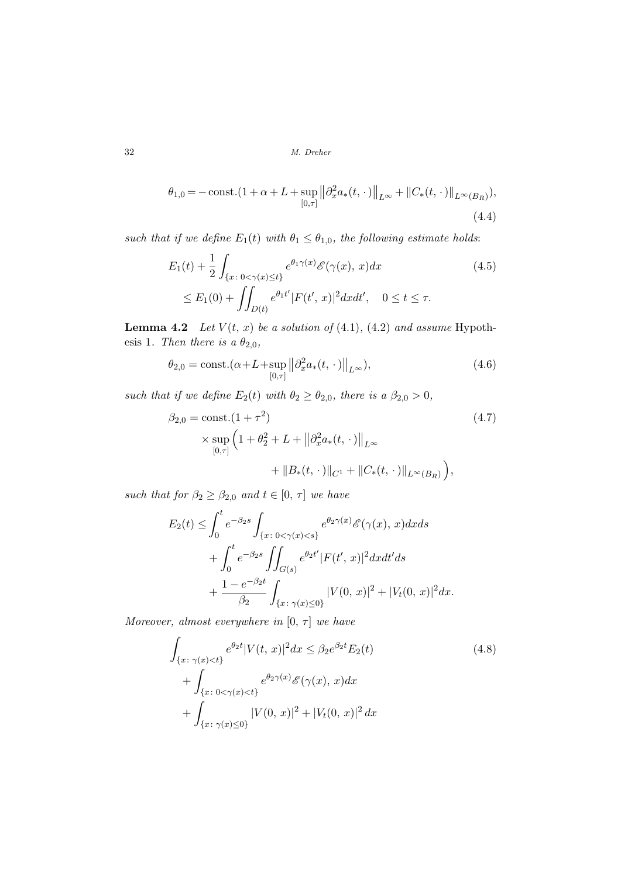$$
\theta_{1,0} = -\operatorname{const.}(1+\alpha+L+\sup_{[0,\tau]}\left\|\partial_x^2 a_*(t,\,\cdot\,)\right\|_{L^\infty} + \left\|C_*(t,\,\cdot\,)\right\|_{L^\infty(B_R)}),\tag{4.4}
$$

such that if we define  $E_1(t)$  with  $\theta_1 \leq \theta_{1,0}$ , the following estimate holds:

$$
E_1(t) + \frac{1}{2} \int_{\{x \,:\, 0 < \gamma(x) \le t\}} e^{\theta_1 \gamma(x)} \mathcal{E}(\gamma(x), x) dx \tag{4.5}
$$
\n
$$
\le E_1(0) + \iint_{D(t)} e^{\theta_1 t'} |F(t', x)|^2 dx dt', \quad 0 \le t \le \tau.
$$

**Lemma 4.2** Let  $V(t, x)$  be a solution of (4.1), (4.2) and assume Hypothesis 1. Then there is a  $\theta_{2,0}$ ,

$$
\theta_{2,0} = \text{const.}(\alpha + L + \sup_{[0,\tau]} ||\partial_x^2 a_*(t,\,\cdot\,)||_{L^\infty}),\tag{4.6}
$$

such that if we define  $E_2(t)$  with  $\theta_2 \ge \theta_{2,0}$ , there is a  $\beta_{2,0} > 0$ ,

$$
\beta_{2,0} = \text{const.}(1+\tau^2)
$$
  
 
$$
\times \sup_{[0,\tau]} \left(1+\theta_2^2 + L + \left\|\partial_x^2 a_*(t,\cdot)\right\|_{L^\infty} + \left\|B_*(t,\cdot)\right\|_{C^1} + \left\|C_*(t,\cdot)\right\|_{L^\infty(B_R)}\right),
$$
 (4.7)

such that for  $\beta_2 \geq \beta_{2,0}$  and  $t \in [0, \tau]$  we have

$$
E_2(t) \le \int_0^t e^{-\beta_2 s} \int_{\{x \,:\, 0 < \gamma(x) < s\}} e^{\theta_2 \gamma(x)} \mathcal{E}(\gamma(x), x) dx ds
$$
  
+ 
$$
\int_0^t e^{-\beta_2 s} \iint_{G(s)} e^{\theta_2 t'} |F(t', x)|^2 dx dt' ds
$$
  
+ 
$$
\frac{1 - e^{-\beta_2 t}}{\beta_2} \int_{\{x \,:\, \gamma(x) \le 0\}} |V(0, x)|^2 + |V_t(0, x)|^2 dx.
$$

Moreover, almost everywhere in  $[0, \tau]$  we have

$$
\int_{\{x:\ \gamma(x)< t\}} e^{\theta_2 t} |V(t, x)|^2 dx \le \beta_2 e^{\beta_2 t} E_2(t) \n+ \int_{\{x:\ 0<\gamma(x)< t\}} e^{\theta_2 \gamma(x)} \mathscr{E}(\gamma(x), x) dx \n+ \int_{\{x:\ \gamma(x)\le 0\}} |V(0, x)|^2 + |V_t(0, x)|^2 dx
$$
\n(4.8)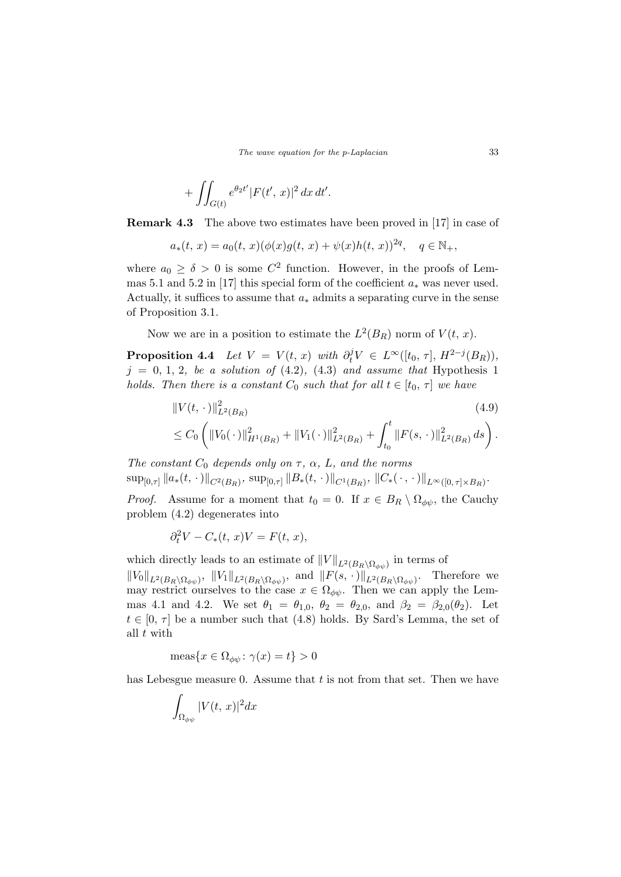$$
+ \iint_{G(t)} e^{\theta_2 t'} |F(t', x)|^2 dx dt'.
$$

Remark 4.3 The above two estimates have been proved in [17] in case of

$$
a_*(t, x) = a_0(t, x)(\phi(x)g(t, x) + \psi(x)h(t, x))^{2q}, \quad q \in \mathbb{N}_+,
$$

where  $a_0 \ge \delta > 0$  is some  $C^2$  function. However, in the proofs of Lemmas 5.1 and 5.2 in [17] this special form of the coefficient  $a_*$  was never used. Actually, it suffices to assume that  $a_*$  admits a separating curve in the sense of Proposition 3.1.

Now we are in a position to estimate the  $L^2(B_R)$  norm of  $V(t, x)$ .

**Proposition 4.4** Let  $V = V(t, x)$  with  $\partial_t^j V \in L^\infty([t_0, \tau], H^{2-j}(B_R)),$  $j = 0, 1, 2,$  be a solution of (4.2), (4.3) and assume that Hypothesis 1 holds. Then there is a constant  $C_0$  such that for all  $t \in [t_0, \tau]$  we have

$$
\|V(t,\,\cdot\,)\|_{L^2(B_R)}^2
$$
\n
$$
\leq C_0 \left( \|V_0(\,\cdot\,)\|_{H^1(B_R)}^2 + \|V_1(\,\cdot\,)\|_{L^2(B_R)}^2 + \int_{t_0}^t \|F(s,\,\cdot\,)\|_{L^2(B_R)}^2 ds \right).
$$
\n(4.9)

The constant  $C_0$  depends only on  $\tau$ ,  $\alpha$ ,  $L$ , and the norms  $\sup_{[0,\tau]}\|a_*(t,\,\cdot\,)\|_{C^2(B_R)},\ \sup_{[0,\tau]}\|B_*(t,\,\cdot\,)\|_{C^1(B_R)},\ \|C_*(\,\cdot\,,\,\cdot\,)\|_{L^\infty([0,\,\tau]\times B_R)}.$ 

*Proof.* Assume for a moment that  $t_0 = 0$ . If  $x \in B_R \setminus \Omega_{\phi\psi}$ , the Cauchy problem (4.2) degenerates into

$$
\partial_t^2 V - C_*(t, x)V = F(t, x),
$$

which directly leads to an estimate of  $||V||_{L^2(B_R\setminus\Omega_{\phi\psi})}$  in terms of

 $||V_0||_{L^2(B_R\setminus\Omega_{\phi\psi})}, ||V_1||_{L^2(B_R\setminus\Omega_{\phi\psi})},$  and  $||F(s, \cdot)||_{L^2(B_R\setminus\Omega_{\phi\psi})}.$  Therefore we may restrict ourselves to the case  $x \in \Omega_{\phi\psi}$ . Then we can apply the Lemmas 4.1 and 4.2. We set  $\theta_1 = \theta_{1,0}$ ,  $\theta_2 = \theta_{2,0}$ , and  $\beta_2 = \beta_{2,0}(\theta_2)$ . Let  $t \in [0, \tau]$  be a number such that (4.8) holds. By Sard's Lemma, the set of all  $t$  with

$$
\text{meas}\{x \in \Omega_{\phi\psi} \colon \gamma(x) = t\} > 0
$$

has Lebesgue measure 0. Assume that  $t$  is not from that set. Then we have

$$
\int_{\Omega_{\phi\psi}} |V(t, x)|^2 dx
$$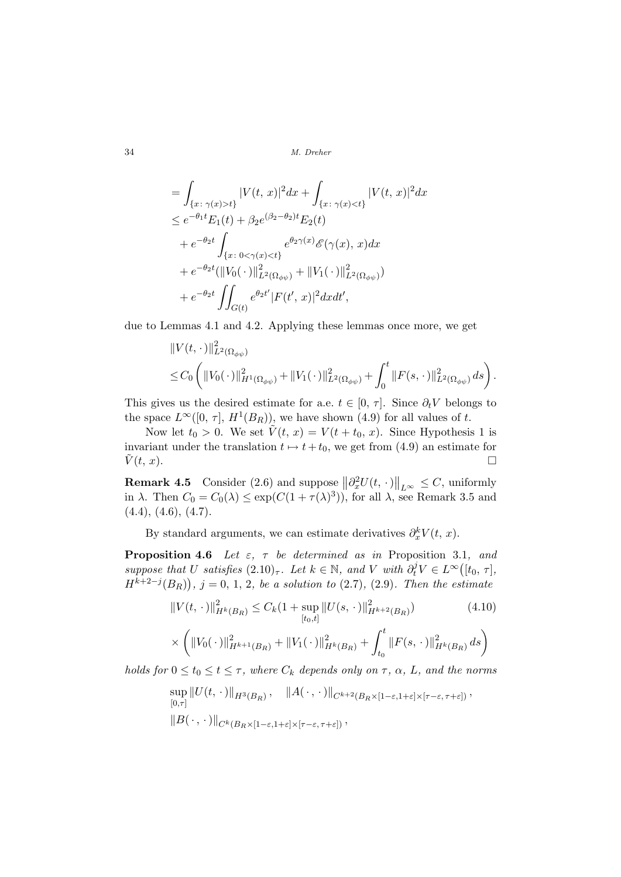$$
= \int_{\{x:\ \gamma(x)>t\}} |V(t, x)|^2 dx + \int_{\{x:\ \gamma(x)  
\n
$$
\leq e^{-\theta_1 t} E_1(t) + \beta_2 e^{(\beta_2-\theta_2)t} E_2(t)
$$
  
\n
$$
+ e^{-\theta_2 t} \int_{\{x:\ 0<\gamma(x)  
\n
$$
+ e^{-\theta_2 t} (\|V_0(\cdot)\|_{L^2(\Omega_{\phi\psi})}^2 + \|V_1(\cdot)\|_{L^2(\Omega_{\phi\psi})}^2)
$$
  
\n
$$
+ e^{-\theta_2 t} \iint_{G(t)} e^{\theta_2 t'} |F(t', x)|^2 dx dt',
$$
$$
$$

due to Lemmas 4.1 and 4.2. Applying these lemmas once more, we get

$$
\begin{split} &\|V(t,\,\cdot\,)\|_{L^2(\Omega_{\phi\psi})}^2\\ &\leq C_0\left(\|V_0(\,\cdot\,)\|_{H^1(\Omega_{\phi\psi})}^2+\|V_1(\,\cdot\,)\|_{L^2(\Omega_{\phi\psi})}^2+\int_0^t\|F(s,\,\cdot\,)\|_{L^2(\Omega_{\phi\psi})}^2ds\right). \end{split}
$$

This gives us the desired estimate for a.e.  $t \in [0, \tau]$ . Since  $\partial_t V$  belongs to the space  $L^{\infty}([0, \tau], H^1(B_R))$ , we have shown (4.9) for all values of t.

Now let  $t_0 > 0$ . We set  $\tilde{V}(t, x) = V(t + t_0, x)$ . Since Hypothesis 1 is invariant under the translation  $t \mapsto t+t_0$ , we get from (4.9) an estimate for  $\tilde{V}(t, x)$ .

**Remark 4.5** Consider (2.6) and suppose  $\|\partial_x^2 U(t,\,\cdot\,)$  $\big\|_{L^{\infty}} \leq C$ , uniformly in  $\lambda$ . Then  $C_0 = C_0(\lambda) \leq \exp(C(1+\tau(\lambda)^3))$ , for all  $\lambda$ , see Remark 3.5 and  $(4.4), (4.6), (4.7).$ 

By standard arguments, we can estimate derivatives  $\partial_x^k V(t, x)$ .

**Proposition 4.6** Let  $\varepsilon$ ,  $\tau$  be determined as in Proposition 3.1, and **Froposition 4.0** Let  $\varepsilon$ ,  $\tau$  be determined as  $m$  **Froposition** 5.<br>suppose that U satisfies  $(2.10)_{\tau}$ . Let  $k \in \mathbb{N}$ , and V with  $\partial_t^j V \in L^{\infty}$ U satisfies  $(2.10)_{\tau}$ . Let  $k \in \mathbb{N}$ , and V with  $\partial_t^j V \in L^{\infty}([t_0, \tau],$  $H^{k+2-j}(B_R)$ ,  $j = 0, 1, 2$ , be a solution to  $(2.7)$ ,  $(2.9)$ . Then the estimate

$$
||V(t, \cdot)||_{H^k(B_R)}^2 \le C_k (1 + \sup_{[t_0, t]} ||U(s, \cdot)||_{H^{k+2}(B_R)}^2)
$$
(4.10)  

$$
\times \left( ||V_0(\cdot)||_{H^{k+1}(B_R)}^2 + ||V_1(\cdot)||_{H^k(B_R)}^2 + \int_{t_0}^t ||F(s, \cdot)||_{H^k(B_R)}^2 ds \right)
$$

holds for  $0 \le t_0 \le t \le \tau$ , where  $C_k$  depends only on  $\tau$ ,  $\alpha$ ,  $L$ , and the norms

$$
\sup_{[0,\tau]} ||U(t,\,\cdot\,)||_{H^3(B_R)}, \quad ||A(\,\cdot\,,\,\cdot\,)||_{C^{k+2}(B_R\times[1-\varepsilon,1+\varepsilon]\times[\tau-\varepsilon,\tau+\varepsilon])},
$$
  

$$
||B(\,\cdot\,,\,\cdot\,)||_{C^k(B_R\times[1-\varepsilon,1+\varepsilon]\times[\tau-\varepsilon,\tau+\varepsilon])},
$$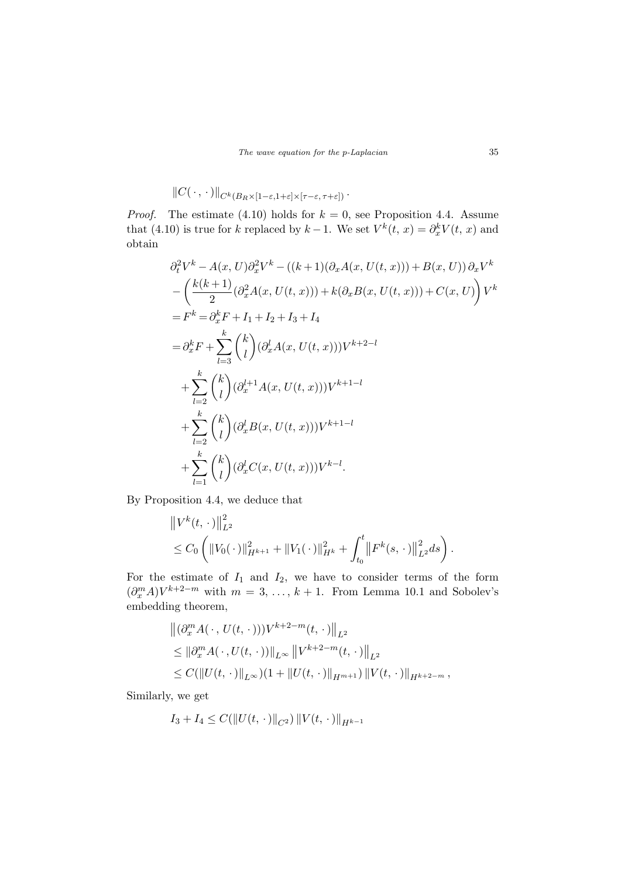$$
||C(\cdot,\cdot)||_{C^k(B_R\times[1-\varepsilon,1+\varepsilon]\times[\tau-\varepsilon,\tau+\varepsilon])}.
$$

*Proof.* The estimate (4.10) holds for  $k = 0$ , see Proposition 4.4. Assume that (4.10) is true for k replaced by  $k-1$ . We set  $V^k(t, x) = \partial_x^k V(t, x)$  and obtain

$$
\partial_t^2 V^k - A(x, U) \partial_x^2 V^k - ((k+1)(\partial_x A(x, U(t, x))) + B(x, U)) \partial_x V^k
$$
  
\n
$$
- \left( \frac{k(k+1)}{2} (\partial_x^2 A(x, U(t, x))) + k(\partial_x B(x, U(t, x))) + C(x, U) \right) V^k
$$
  
\n
$$
= F^k = \partial_x^k F + I_1 + I_2 + I_3 + I_4
$$
  
\n
$$
= \partial_x^k F + \sum_{l=3}^k {k \choose l} (\partial_x^l A(x, U(t, x))) V^{k+2-l}
$$
  
\n
$$
+ \sum_{l=2}^k {k \choose l} (\partial_x^{l+1} A(x, U(t, x))) V^{k+1-l}
$$
  
\n
$$
+ \sum_{l=2}^k {k \choose l} (\partial_x^l B(x, U(t, x))) V^{k+1-l}
$$
  
\n
$$
+ \sum_{l=1}^k {k \choose l} (\partial_x^l C(x, U(t, x))) V^{k-l}.
$$

By Proposition 4.4, we deduce that

$$
\|V^{k}(t,\cdot)\|_{L^{2}}^{2} \leq C_{0} \left( \|V_{0}(\cdot)\|_{H^{k+1}}^{2} + \|V_{1}(\cdot)\|_{H^{k}}^{2} + \int_{t_{0}}^{t} \|F^{k}(s,\cdot)\|_{L^{2}}^{2} ds \right).
$$

For the estimate of  $I_1$  and  $I_2$ , we have to consider terms of the form  $(\partial_x^m A)V^{k+2-m}$  with  $m = 3, \ldots, k+1$ . From Lemma 10.1 and Sobolev's embedding theorem,

$$
\begin{aligned} &\left\|(\partial_x^m A(\,\cdot\,, U(t,\,\cdot\,)))V^{k+2-m}(t,\,\cdot\,)\right\|_{L^2} \\ &\leq \|\partial_x^m A(\,\cdot\,, U(t,\,\cdot\,))\|_{L^\infty} \left\|V^{k+2-m}(t,\,\cdot\,)\right\|_{L^2} \\ &\leq C(\|U(t,\,\cdot\,)\|_{L^\infty})(1+\|U(t,\,\cdot\,)\|_{H^{m+1}})\,\|V(t,\,\cdot\,)\|_{H^{k+2-m}}\,, \end{aligned}
$$

Similarly, we get

$$
I_3 + I_4 \leq C(||U(t, \cdot)||_{C^2}) ||V(t, \cdot)||_{H^{k-1}}
$$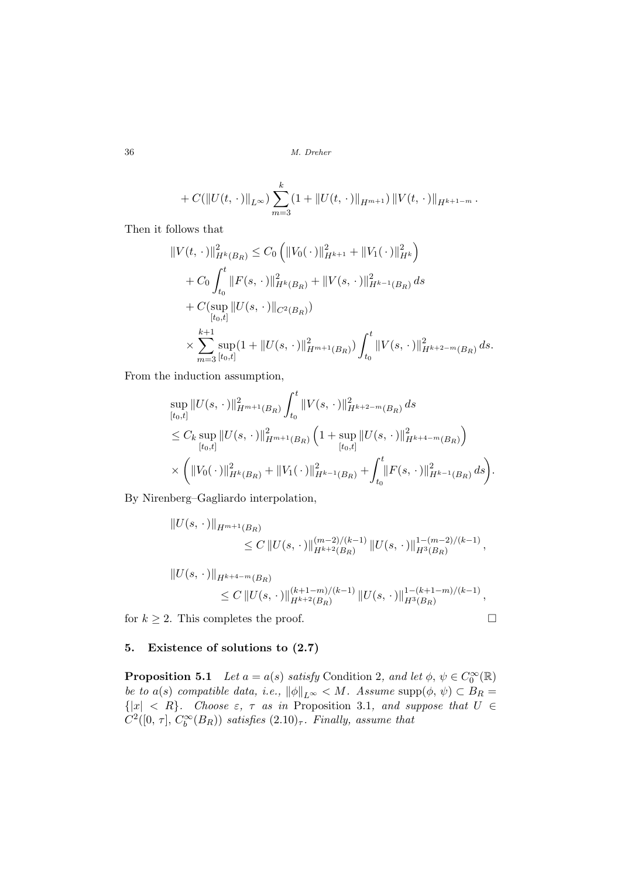$$
+ C(||U(t, \cdot)||_{L^{\infty}}) \sum_{m=3}^{k} (1 + ||U(t, \cdot)||_{H^{m+1}}) ||V(t, \cdot)||_{H^{k+1-m}}.
$$

Then it follows that

$$
\|V(t,\cdot)\|_{H^k(B_R)}^2 \leq C_0 \left( \|V_0(\cdot)\|_{H^{k+1}}^2 + \|V_1(\cdot)\|_{H^k}^2 \right)
$$
  
+  $C_0 \int_{t_0}^t \|F(s,\cdot)\|_{H^k(B_R)}^2 + \|V(s,\cdot)\|_{H^{k-1}(B_R)}^2 ds$   
+  $C(\sup_{[t_0,t]} \|U(s,\cdot)\|_{C^2(B_R)})$   
 $\times \sum_{m=3}^{k+1} \sup_{[t_0,t]} (1 + \|U(s,\cdot)\|_{H^{m+1}(B_R)}^2) \int_{t_0}^t \|V(s,\cdot)\|_{H^{k+2-m}(B_R)}^2 ds.$ 

From the induction assumption,

$$
\sup_{[t_0,t]} \|U(s,\,\cdot\,)\|_{H^{m+1}(B_R)}^2 \int_{t_0}^t \|V(s,\,\cdot\,)\|_{H^{k+2-m}(B_R)}^2 ds
$$
\n
$$
\leq C_k \sup_{[t_0,t]} \|U(s,\,\cdot\,)\|_{H^{m+1}(B_R)}^2 \left(1 + \sup_{[t_0,t]} \|U(s,\,\cdot\,)\|_{H^{k+4-m}(B_R)}^2\right)
$$
\n
$$
\times \left( \|V_0(\,\cdot\,)\|_{H^k(B_R)}^2 + \|V_1(\,\cdot\,)\|_{H^{k-1}(B_R)}^2 + \int_{t_0}^t \|F(s,\,\cdot\,)\|_{H^{k-1}(B_R)}^2 ds \right).
$$

By Nirenberg–Gagliardo interpolation,

$$
||U(s, \cdot)||_{H^{m+1}(B_R)} \leq C ||U(s, \cdot)||_{H^{k+2}(B_R)}^{(m-2)/(k-1)} ||U(s, \cdot)||_{H^3(B_R)}^{1-(m-2)/(k-1)},
$$

$$
||U(s, \cdot)||_{H^{k+4-m}(B_R)}
$$
  
\n
$$
\leq C ||U(s, \cdot)||_{H^{k+2}(B_R)}^{(k+1-m)/(k-1)} ||U(s, \cdot)||_{H^3(B_R)}^{1-(k+1-m)/(k-1)},
$$

for  $k \geq 2$ . This completes the proof.  $\Box$ 

## 5. Existence of solutions to (2.7)

**Proposition 5.1** Let  $a = a(s)$  satisfy Condition 2, and let  $\phi, \psi \in C_0^{\infty}(\mathbb{R})$ be to a(s) compatible data, i.e.,  $\|\phi\|_{L^{\infty}} < M$ . Assume supp $(\phi, \psi) \subset B_R =$  $\{|x| \leq R\}$ . Choose  $\varepsilon$ ,  $\tau$  as in Proposition 3.1, and suppose that  $U \in$  $C^2([0, \tau], C_b^{\infty}(B_R))$  satisfies  $(2.10)_{\tau}$ . Finally, assume that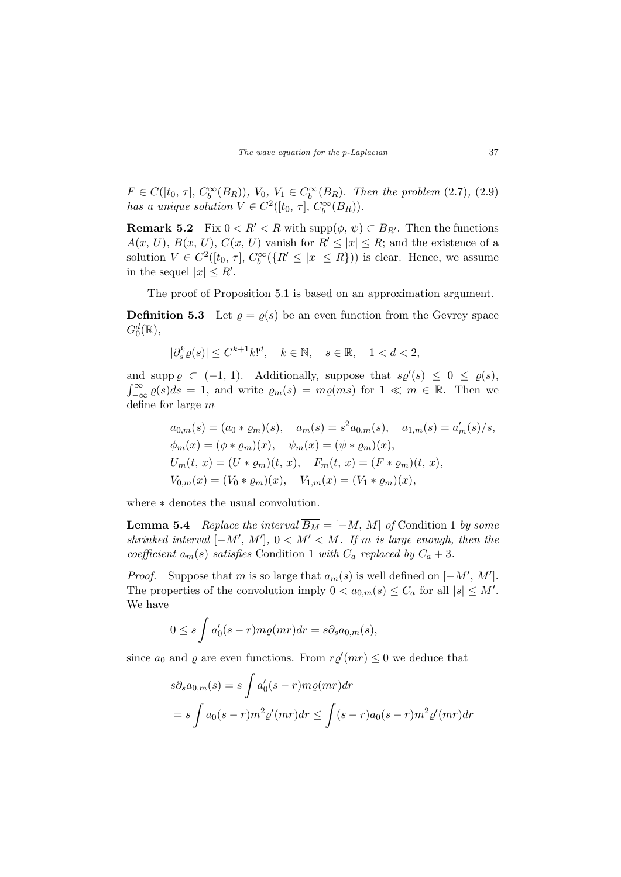$F \in C([t_0, \tau], C_b^{\infty}(B_R)), V_0, V_1 \in C_b^{\infty}(B_R)$ . Then the problem (2.7), (2.9) has a unique solution  $V \in C^2([t_0, \tau], C_b^{\infty}(B_R)).$ 

**Remark 5.2** Fix  $0 < R' < R$  with supp $(\phi, \psi) \subset B_{R'}$ . Then the functions  $A(x, U), B(x, U), C(x, U)$  vanish for  $R' \leq |x| \leq R$ ; and the existence of a solution  $V \in C^2([t_0, \tau], C_b^{\infty}(\lbrace R' \leq |x| \leq R \rbrace))$  is clear. Hence, we assume in the sequel  $|x| \leq R'$ .

The proof of Proposition 5.1 is based on an approximation argument.

**Definition 5.3** Let  $\rho = \rho(s)$  be an even function from the Gevrey space  $G_0^d(\mathbb{R}),$ 

 $|\partial_s^k \varrho(s)| \leq C^{k+1} k!^d, \quad k \in \mathbb{N}, \quad s \in \mathbb{R}, \quad 1 < d < 2,$ 

and supp  $\varrho \subset (-1, 1)$ . Additionally, suppose that  $s\varrho'(s) \leq 0 \leq \varrho(s)$ , anc<br>∞r  $\int_{-\infty}^{\infty} \varrho(s) ds = 1$ , and write  $\varrho_m(s) = m\varrho(ms)$  for  $1 \ll m \in \mathbb{R}$ . Then we define for large m

$$
a_{0,m}(s) = (a_0 * \varrho_m)(s), \quad a_m(s) = s^2 a_{0,m}(s), \quad a_{1,m}(s) = a'_m(s)/s,
$$
  
\n
$$
\phi_m(x) = (\phi * \varrho_m)(x), \quad \psi_m(x) = (\psi * \varrho_m)(x),
$$
  
\n
$$
U_m(t, x) = (U * \varrho_m)(t, x), \quad F_m(t, x) = (F * \varrho_m)(t, x),
$$
  
\n
$$
V_{0,m}(x) = (V_0 * \varrho_m)(x), \quad V_{1,m}(x) = (V_1 * \varrho_m)(x),
$$

where ∗ denotes the usual convolution.

**Lemma 5.4** Replace the interval  $\overline{B_M}$  = [−M, M] of Condition 1 by some shrinked interval  $[-M', M'], 0 < M' < M$ . If m is large enough, then the coefficient  $a_m(s)$  satisfies Condition 1 with  $C_a$  replaced by  $C_a + 3$ .

*Proof.* Suppose that m is so large that  $a_m(s)$  is well defined on  $[-M', M']$ . The properties of the convolution imply  $0 < a_{0,m}(s) \leq C_a$  for all  $|s| \leq M'$ . We have

$$
0 \le s \int a'_0(s-r)m\varrho(mr)dr = s\partial_s a_{0,m}(s),
$$

since  $a_0$  and  $\varrho$  are even functions. From  $r\varrho'(mr) \leq 0$  we deduce that

$$
s\partial_s a_{0,m}(s) = s \int a'_0(s-r)m\varrho(mr)dr
$$
  
=  $s \int a_0(s-r)m^2\varrho'(mr)dr \le \int (s-r)a_0(s-r)m^2\varrho'(mr)dr$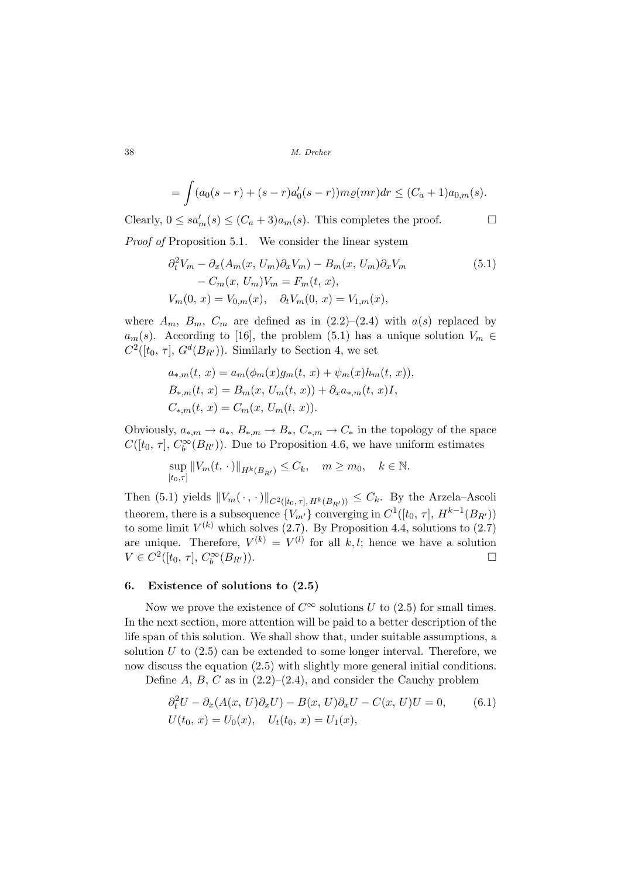$$
= \int (a_0(s-r) + (s-r)a'_0(s-r))m\varrho(mr)dr \le (C_a+1)a_{0,m}(s).
$$

Clearly,  $0 \leq sa'_m(s) \leq (C_a + 3)a_m(s)$ . This completes the proof.  $\Box$ Proof of Proposition 5.1. We consider the linear system

$$
\partial_t^2 V_m - \partial_x (A_m(x, U_m)\partial_x V_m) - B_m(x, U_m)\partial_x V_m
$$
  
-  $C_m(x, U_m)V_m = F_m(t, x),$   

$$
V_m(0, x) = V_{0,m}(x), \quad \partial_t V_m(0, x) = V_{1,m}(x),
$$
\n
$$
(5.1)
$$

where  $A_m$ ,  $B_m$ ,  $C_m$  are defined as in  $(2.2)-(2.4)$  with  $a(s)$  replaced by  $a_m(s)$ . According to [16], the problem (5.1) has a unique solution  $V_m \in$  $C^2([t_0, \tau], G^d(B_{R'}))$ . Similarly to Section 4, we set

$$
a_{*,m}(t, x) = a_m(\phi_m(x)g_m(t, x) + \psi_m(x)h_m(t, x)),
$$
  
\n
$$
B_{*,m}(t, x) = B_m(x, U_m(t, x)) + \partial_x a_{*,m}(t, x)I,
$$
  
\n
$$
C_{*,m}(t, x) = C_m(x, U_m(t, x)).
$$

Obviously,  $a_{*,m} \to a_*, B_{*,m} \to B_*, C_{*,m} \to C_*$  in the topology of the space  $C([t_0, \tau], C_b^{\infty}(B_{R'}))$ . Due to Proposition 4.6, we have uniform estimates

$$
\sup_{[t_0,\tau]} ||V_m(t,\,\cdot\,)||_{H^k(B_{R'})} \leq C_k, \quad m \geq m_0, \quad k \in \mathbb{N}.
$$

Then (5.1) yields  $||V_m(\cdot, \cdot)||_{C^2([t_0, \tau], H^k(B_{R}))} \leq C_k$ . By the Arzela–Ascoli theorem, there is a subsequence  ${V_{m'} }$  converging in  $C^1([t_0, \tau], H^{k-1}(B_{R'}))$ to some limit  $V^{(k)}$  which solves (2.7). By Proposition 4.4, solutions to (2.7) are unique. Therefore,  $V^{(k)} = V^{(l)}$  for all k, l; hence we have a solution  $V \in C^2([t_0, \tau], C_b^{\infty}(B_{R'})).$ 

### 6. Existence of solutions to (2.5)

Now we prove the existence of  $C^{\infty}$  solutions U to (2.5) for small times. In the next section, more attention will be paid to a better description of the life span of this solution. We shall show that, under suitable assumptions, a solution  $U$  to  $(2.5)$  can be extended to some longer interval. Therefore, we now discuss the equation  $(2.5)$  with slightly more general initial conditions.

Define A, B, C as in  $(2.2)$ – $(2.4)$ , and consider the Cauchy problem

$$
\partial_t^2 U - \partial_x (A(x, U)\partial_x U) - B(x, U)\partial_x U - C(x, U)U = 0,
$$
\n
$$
U(t_0, x) = U_0(x), \quad U_t(t_0, x) = U_1(x),
$$
\n(6.1)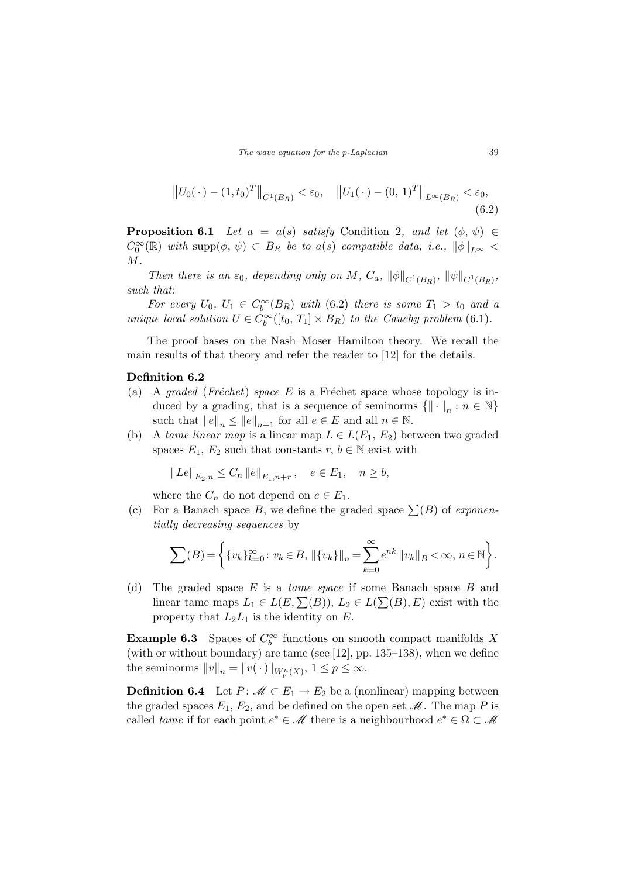$$
||U_0(\cdot) - (1, t_0)^T||_{C^1(B_R)} < \varepsilon_0, \quad ||U_1(\cdot) - (0, 1)^T||_{L^{\infty}(B_R)} < \varepsilon_0,
$$
\n(6.2)

**Proposition 6.1** Let  $a = a(s)$  satisfy Condition 2, and let  $(\phi, \psi) \in$  $C_0^{\infty}(\mathbb{R})$  with supp $(\phi, \psi) \subset B_R$  be to a(s) compatible data, i.e.,  $\|\phi\|_{L^{\infty}}$  $M$ .

Then there is an  $\varepsilon_0$ , depending only on M,  $C_a$ ,  $\|\phi\|_{C^1(B_R)}$ ,  $\|\psi\|_{C^1(B_R)}$ , such that:

For every  $U_0$ ,  $U_1 \in C_b^{\infty}(B_R)$  with (6.2) there is some  $T_1 > t_0$  and a unique local solution  $U \in C_b^{\infty}([t_0, T_1] \times B_R)$  to the Cauchy problem (6.1).

The proof bases on the Nash–Moser–Hamilton theory. We recall the main results of that theory and refer the reader to [12] for the details.

#### Definition 6.2

- (a) A graded (Fréchet) space E is a Fréchet space whose topology is induced by a grading, that is a sequence of seminorms  $\{ \| \cdot \|_n : n \in \mathbb{N} \}$ such that  $||e||_n \le ||e||_{n+1}$  for all  $e \in E$  and all  $n \in \mathbb{N}$ .
- (b) A tame linear map is a linear map  $L \in L(E_1, E_2)$  between two graded spaces  $E_1, E_2$  such that constants  $r, b \in \mathbb{N}$  exist with

$$
||Le||_{E_2,n} \leq C_n ||e||_{E_1,n+r}
$$
,  $e \in E_1$ ,  $n \geq b$ ,

where the  $C_n$  do not depend on  $e \in E_1$ .

(c) For a Banach space B, we define the graded space  $\Sigma(B)$  of exponentially decreasing sequences by

$$
\sum(B) = \left\{ \{v_k\}_{k=0}^{\infty} : v_k \in B, \, \|\{v_k\}\|_n = \sum_{k=0}^{\infty} e^{nk} \, \|v_k\|_B < \infty, \, n \in \mathbb{N} \right\}.
$$

(d) The graded space E is a *tame space* if some Banach space B and linear tame maps  $L_1 \in L(E, \sum(B)), L_2 \in L(\sum(B), E)$  exist with the property that  $L_2L_1$  is the identity on E.

**Example 6.3** Spaces of  $C_b^{\infty}$  functions on smooth compact manifolds X (with or without boundary) are tame (see [12], pp. 135–138), when we define the seminorms  $||v||_n = ||v(\cdot)||_{W_p^n(X)}, 1 \le p \le \infty$ .

**Definition 6.4** Let  $P: \mathcal{M} \subset E_1 \to E_2$  be a (nonlinear) mapping between the graded spaces  $E_1, E_2$ , and be defined on the open set  $\mathcal M$ . The map P is called *tame* if for each point  $e^* \in \mathcal{M}$  there is a neighbourhood  $e^* \in \Omega \subset \mathcal{M}$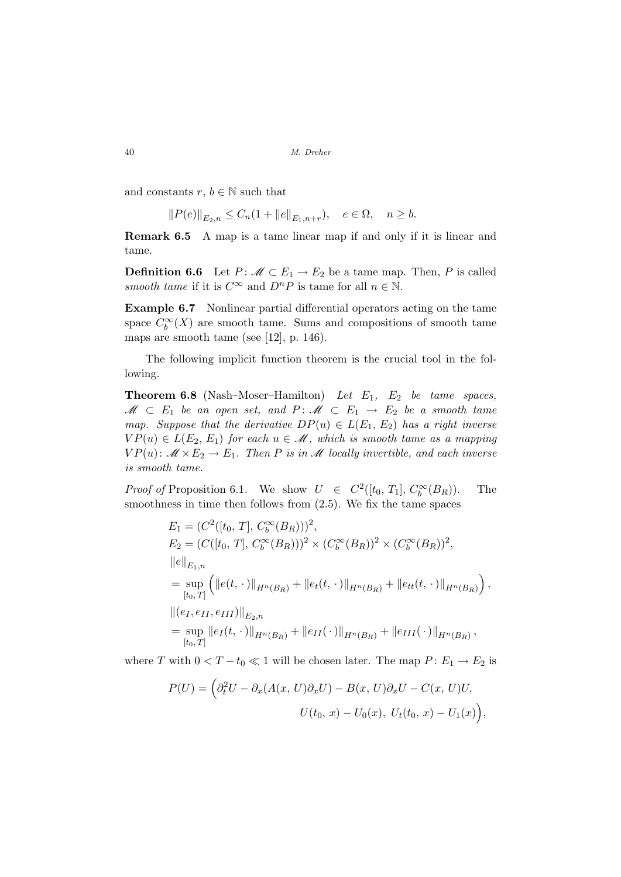and constants  $r, b \in \mathbb{N}$  such that

$$
||P(e)||_{E_2,n} \le C_n(1+||e||_{E_1,n+r}), \quad e \in \Omega, \quad n \ge b.
$$

Remark 6.5 A map is a tame linear map if and only if it is linear and tame.

**Definition 6.6** Let  $P: \mathcal{M} \subset E_1 \to E_2$  be a tame map. Then, P is called smooth tame if it is  $C^{\infty}$  and  $D^{n}P$  is tame for all  $n \in \mathbb{N}$ .

Example 6.7 Nonlinear partial differential operators acting on the tame space  $C_b^{\infty}(X)$  are smooth tame. Sums and compositions of smooth tame maps are smooth tame (see [12], p. 146).

The following implicit function theorem is the crucial tool in the following.

**Theorem 6.8** (Nash–Moser–Hamilton) Let  $E_1$ ,  $E_2$  be tame spaces,  $\mathscr{M} \subset E_1$  be an open set, and  $P: \mathscr{M} \subset E_1 \rightarrow E_2$  be a smooth tame map. Suppose that the derivative  $DP(u) \in L(E_1, E_2)$  has a right inverse  $VP(u) \in L(E_2, E_1)$  for each  $u \in \mathcal{M}$ , which is smooth tame as a mapping  $VP(u): \mathcal{M} \times E_2 \to E_1$ . Then P is in M locally invertible, and each inverse is smooth tame.

*Proof of* Proposition 6.1. We show  $U \in C^2([t_0, T_1], C_b^{\infty}(B_R))$ . The smoothness in time then follows from (2.5). We fix the tame spaces

$$
E_1 = (C^2([t_0, T], C_b^{\infty}(B_R)))^2,
$$
  
\n
$$
E_2 = (C([t_0, T], C_b^{\infty}(B_R)))^2 \times (C_b^{\infty}(B_R))^2 \times (C_b^{\infty}(B_R))^2,
$$
  
\n
$$
||e||_{E_1,n}
$$
  
\n
$$
= \sup_{[t_0, T]} (||e(t, \cdot)||_{H^n(B_R)} + ||e_t(t, \cdot)||_{H^n(B_R)} + ||e_{tt}(t, \cdot)||_{H^n(B_R)}),
$$
  
\n
$$
||(e_I, e_{II}, e_{III})||_{E_2,n}
$$
  
\n
$$
= \sup_{[t_0, T]} ||e_I(t, \cdot)||_{H^n(B_R)} + ||e_{II}(\cdot)||_{H^n(B_R)} + ||e_{III}(\cdot)||_{H^n(B_R)},
$$

where T with  $0 < T - t_0 \ll 1$  will be chosen later. The map  $P: E_1 \to E_2$  is

$$
P(U) = \left(\partial_t^2 U - \partial_x(A(x, U)\partial_x U) - B(x, U)\partial_x U - C(x, U)U, \right.
$$
  

$$
U(t_0, x) - U_0(x), U_t(t_0, x) - U_1(x)\right),
$$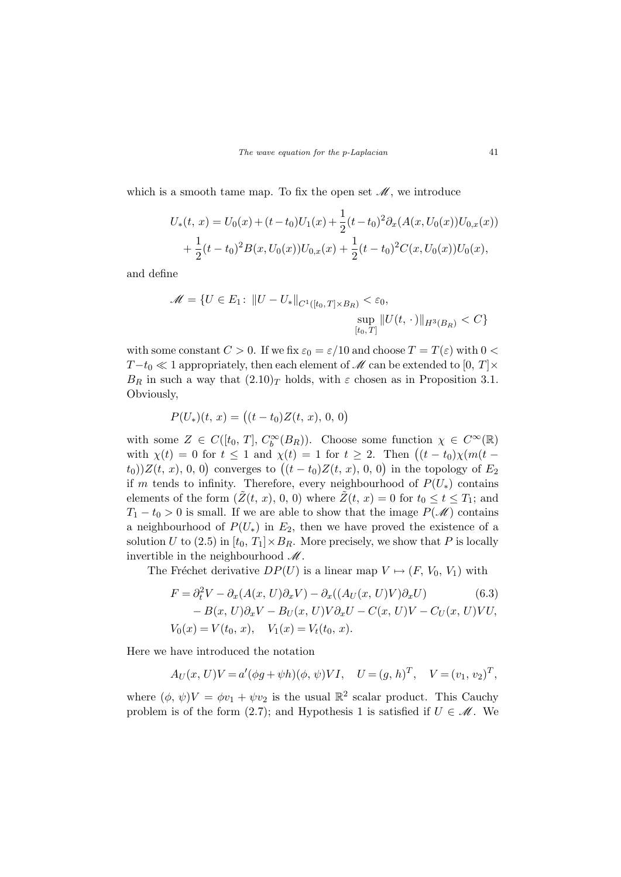which is a smooth tame map. To fix the open set  $\mathcal{M}$ , we introduce

$$
U_*(t, x) = U_0(x) + (t - t_0)U_1(x) + \frac{1}{2}(t - t_0)^2 \partial_x(A(x, U_0(x))U_{0,x}(x))
$$
  
+ 
$$
\frac{1}{2}(t - t_0)^2 B(x, U_0(x))U_{0,x}(x) + \frac{1}{2}(t - t_0)^2 C(x, U_0(x))U_0(x),
$$

and define

$$
\mathcal{M} = \{ U \in E_1 \colon ||U - U_*||_{C^1([t_0, T] \times B_R)} < \varepsilon_0, \\
\sup_{[t_0, T]} ||U(t, \cdot)||_{H^3(B_R)} < C \}
$$

with some constant  $C > 0$ . If we fix  $\varepsilon_0 = \varepsilon/10$  and choose  $T = T(\varepsilon)$  with  $0 <$  $T-t_0 \ll 1$  appropriately, then each element of  $\mathcal M$  can be extended to  $[0, T] \times$  $B_R$  in such a way that  $(2.10)_T$  holds, with  $\varepsilon$  chosen as in Proposition 3.1. Obviously,

$$
P(U_*)(t, x) = ((t - t_0)Z(t, x), 0, 0)
$$

with some  $Z \in C([t_0, T], C_b^{\infty}(B_R))$ . Choose some function  $\chi \in C^{\infty}(\mathbb{R})$ with some  $Z \in C([t_0, 1], C_b^{-}(B_R))$ . Choose some function  $\chi \in C^{-}(\mathbb{R})$ <br>with  $\chi(t) = 0$  for  $t \le 1$  and  $\chi(t) = 1$  for  $t \ge 2$ . Then  $((t - t_0)\chi(m(t$ with  $\chi(t) = 0$  for  $t \le 1$  and  $\chi(t) = 1$  for  $t \ge 2$ . Then  $((t - t_0)\chi(m)t - t_0)/Z(t, x)$ , 0, 0) converges to  $((t - t_0)Z(t, x), 0, 0)$  in the topology of  $E_2$ if m tends to infinity. Therefore, every neighbourhood of  $P(U_*)$  contains elements of the form  $(Z(t, x), 0, 0)$  where  $\tilde{Z}(t, x) = 0$  for  $t_0 \le t \le T_1$ ; and  $T_1 - t_0 > 0$  is small. If we are able to show that the image  $P(\mathscr{M})$  contains a neighbourhood of  $P(U_*)$  in  $E_2$ , then we have proved the existence of a solution U to (2.5) in  $[t_0, T_1] \times B_R$ . More precisely, we show that P is locally invertible in the neighbourhood  $\mathcal{M}$ .

The Fréchet derivative  $DP(U)$  is a linear map  $V \mapsto (F, V_0, V_1)$  with

$$
F = \partial_t^2 V - \partial_x (A(x, U)\partial_x V) - \partial_x ((A_U(x, U)V)\partial_x U)
$$
(6.3)  
- B(x, U)\partial\_x V - B\_U(x, U)V\partial\_x U - C(x, U)V - C\_U(x, U)VU,  

$$
V_0(x) = V(t_0, x), \quad V_1(x) = V_t(t_0, x).
$$

Here we have introduced the notation

$$
A_U(x, U)V = a'(\phi g + \psi h)(\phi, \psi)VI
$$
,  $U = (g, h)^T$ ,  $V = (v_1, v_2)^T$ ,

where  $(\phi, \psi)V = \phi v_1 + \psi v_2$  is the usual  $\mathbb{R}^2$  scalar product. This Cauchy problem is of the form (2.7); and Hypothesis 1 is satisfied if  $U \in \mathcal{M}$ . We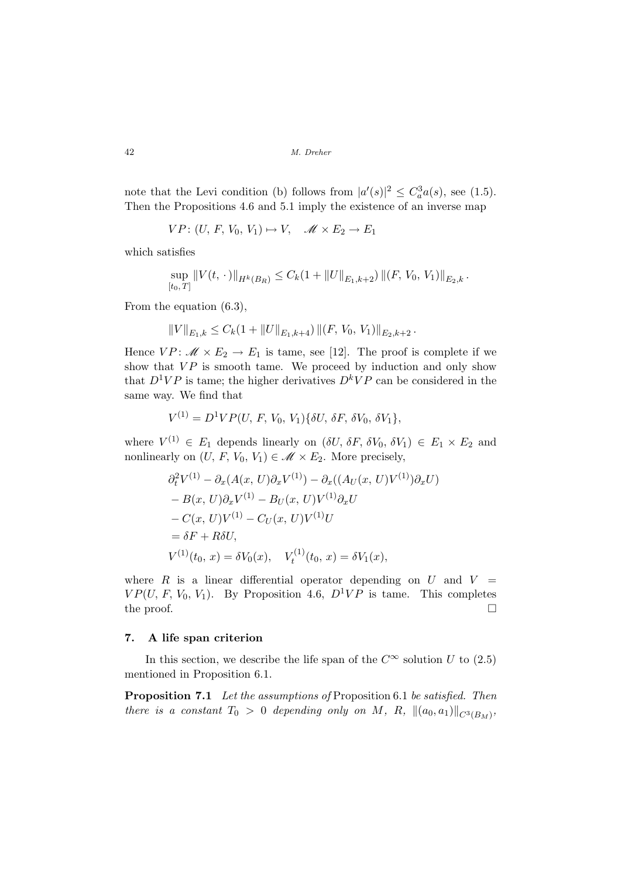note that the Levi condition (b) follows from  $|a'(s)|^2 \leq C_a^3 a(s)$ , see (1.5). Then the Propositions 4.6 and 5.1 imply the existence of an inverse map

$$
VP: (U, F, V_0, V_1) \mapsto V, \quad \mathscr{M} \times E_2 \to E_1
$$

which satisfies

$$
\sup_{[t_0,T]} \|V(t,\,\cdot\,)\|_{H^k(B_R)} \leq C_k (1+ \|U\|_{E_1,k+2}) \left\|(F,\,V_0,\,V_1)\right\|_{E_2,k}.
$$

From the equation (6.3),

$$
||V||_{E_1,k} \leq C_k(1+||U||_{E_1,k+4}) ||(F, V_0, V_1)||_{E_2,k+2}.
$$

Hence  $VP: \mathcal{M} \times E_2 \to E_1$  is tame, see [12]. The proof is complete if we show that  $VP$  is smooth tame. We proceed by induction and only show that  $D^1VP$  is tame; the higher derivatives  $D^kVP$  can be considered in the same way. We find that

$$
V^{(1)} = D^{1}VP(U, F, V_0, V_1)\{\delta U, \delta F, \delta V_0, \delta V_1\},\
$$

where  $V^{(1)} \in E_1$  depends linearly on  $(\delta U, \delta F, \delta V_0, \delta V_1) \in E_1 \times E_2$  and nonlinearly on  $(U, F, V_0, V_1) \in \mathcal{M} \times E_2$ . More precisely,

$$
\partial_t^2 V^{(1)} - \partial_x (A(x, U) \partial_x V^{(1)}) - \partial_x ((A_U(x, U)V^{(1)}) \partial_x U) - B(x, U) \partial_x V^{(1)} - B_U(x, U) V^{(1)} \partial_x U - C(x, U) V^{(1)} - C_U(x, U) V^{(1)} U = \delta F + R \delta U,
$$
  

$$
V^{(1)}(t_0, x) = \delta V_0(x), \quad V_t^{(1)}(t_0, x) = \delta V_1(x),
$$

where R is a linear differential operator depending on U and  $V =$  $VP(U, F, V_0, V_1)$ . By Proposition 4.6,  $D^1 VP$  is tame. This completes the proof.  $\Box$ 

#### 7. A life span criterion

In this section, we describe the life span of the  $C^{\infty}$  solution U to  $(2.5)$ mentioned in Proposition 6.1.

Proposition 7.1 Let the assumptions of Proposition 6.1 be satisfied. Then there is a constant  $T_0 > 0$  depending only on M, R,  $||(a_0, a_1)||_{C^3(B_M)}$ ,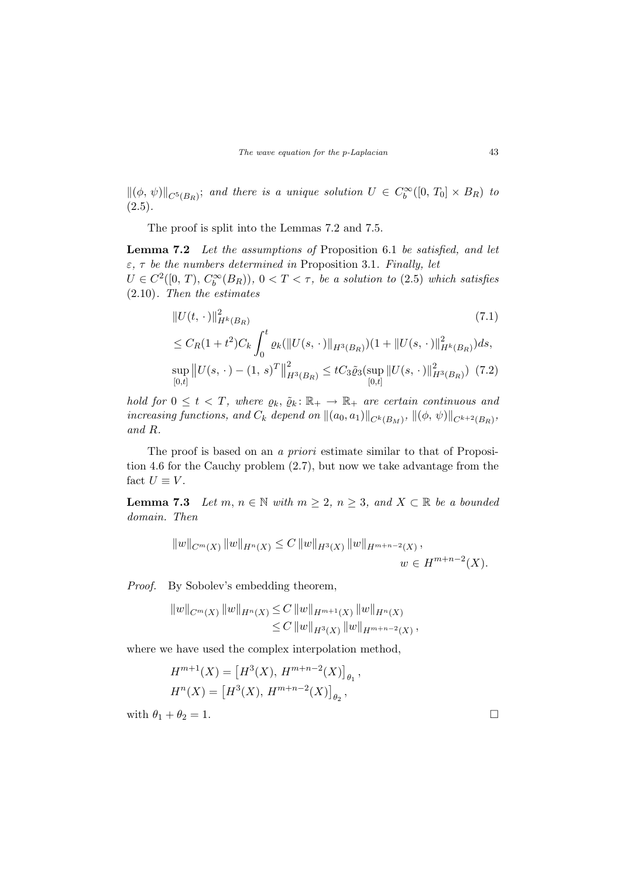$\|(\phi, \psi)\|_{C^5(B_R)}$ ; and there is a unique solution  $U \in C_b^{\infty}([0, T_0] \times B_R)$  to  $(2.5).$ 

The proof is split into the Lemmas 7.2 and 7.5.

Lemma 7.2 Let the assumptions of Proposition 6.1 be satisfied, and let  $\varepsilon$ ,  $\tau$  be the numbers determined in Proposition 3.1. Finally, let  $U \in C^2([0, T), C_b^{\infty}(B_R))$ ,  $0 < T < \tau$ , be a solution to (2.5) which satisfies (2.10). Then the estimates

$$
||U(t, \cdot)||_{H^k(B_R)}^2
$$
\n
$$
\leq C_R(1+t^2)C_k \int_0^t \varrho_k(||U(s, \cdot)||_{H^3(B_R)})(1+||U(s, \cdot)||_{H^k(B_R)}^2)ds,
$$
\n
$$
\sup_{[0,t]} ||U(s, \cdot)-(1, s)^T||_{H^3(B_R)}^2 \leq tC_3 \tilde{\varrho}_3(\sup_{[0,t]} ||U(s, \cdot)||_{H^3(B_R)}^2) \tag{7.2}
$$

hold for  $0 \leq t < T$ , where  $\varrho_k$ ,  $\tilde{\varrho}_k : \mathbb{R}_+ \to \mathbb{R}_+$  are certain continuous and increasing functions, and  $C_k$  depend on  $\|(a_0, a_1)\|_{C^k(B_M)}, \, \|(\phi, \psi)\|_{C^{k+2}(B_R)},$ and R.

The proof is based on an *a priori* estimate similar to that of Proposition 4.6 for the Cauchy problem (2.7), but now we take advantage from the fact  $U \equiv V$ .

**Lemma 7.3** Let  $m, n \in \mathbb{N}$  with  $m \geq 2, n \geq 3$ , and  $X \subset \mathbb{R}$  be a bounded domain. Then

$$
||w||_{C^m(X)} ||w||_{H^n(X)} \leq C ||w||_{H^3(X)} ||w||_{H^{m+n-2}(X)},
$$
  
 
$$
w \in H^{m+n-2}(X).
$$

Proof. By Sobolev's embedding theorem,

$$
||w||_{C^m(X)} ||w||_{H^n(X)} \leq C ||w||_{H^{m+1}(X)} ||w||_{H^n(X)} \leq C ||w||_{H^3(X)} ||w||_{H^{m+n-2}(X)},
$$

where we have used the complex interpolation method,

$$
H^{m+1}(X) = [H^3(X), H^{m+n-2}(X)]_{\theta_1},
$$
  

$$
H^n(X) = [H^3(X), H^{m+n-2}(X)]_{\theta_2},
$$

with  $\theta_1 + \theta_2 = 1$ .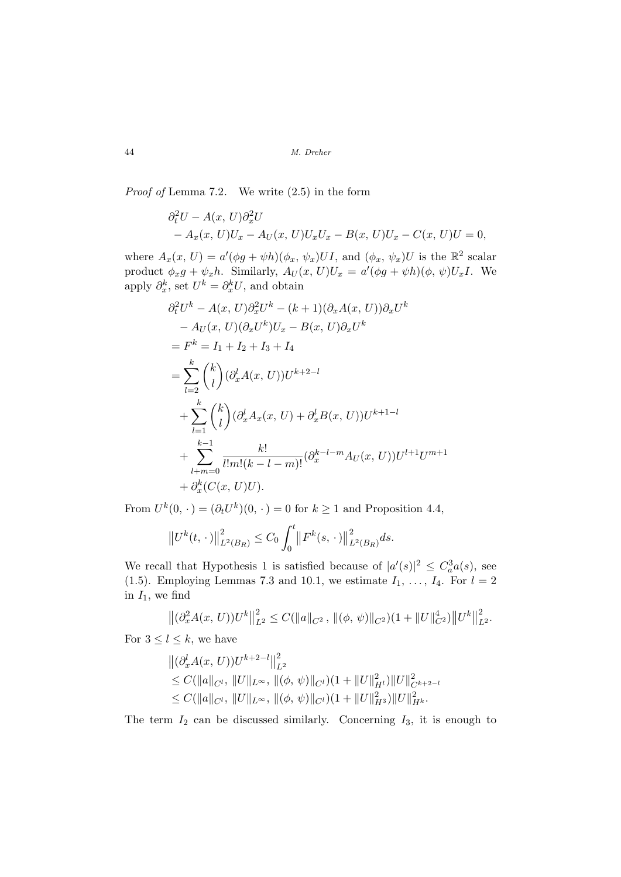Proof of Lemma 7.2. We write (2.5) in the form

$$
\partial_t^2 U - A(x, U) \partial_x^2 U
$$
  
-  $A_x(x, U)U_x - A_U(x, U)U_xU_x - B(x, U)U_x - C(x, U)U = 0,$ 

where  $A_x(x, U) = a'(\phi g + \psi h)(\phi_x, \psi_x) U I$ , and  $(\phi_x, \psi_x) U$  is the  $\mathbb{R}^2$  scalar product  $\phi_x g + \psi_x h$ . Similarly,  $A_U(x, U)U_x = a'(\phi g + \psi h)(\phi, \psi)U_x I$ . We apply  $\partial_x^k$ , set  $U^k = \partial_x^k U$ , and obtain

$$
\partial_t^2 U^k - A(x, U) \partial_x^2 U^k - (k+1) (\partial_x A(x, U)) \partial_x U^k
$$
  
\n
$$
- A_U(x, U) (\partial_x U^k) U_x - B(x, U) \partial_x U^k
$$
  
\n
$$
= F^k = I_1 + I_2 + I_3 + I_4
$$
  
\n
$$
= \sum_{l=2}^k {k \choose l} (\partial_x^l A(x, U)) U^{k+2-l}
$$
  
\n
$$
+ \sum_{l=1}^k {k \choose l} (\partial_x^l A_x(x, U) + \partial_x^l B(x, U)) U^{k+1-l}
$$
  
\n
$$
+ \sum_{l+m=0}^{k-1} \frac{k!}{l! m! (k-l-m)!} (\partial_x^{k-l-m} A_U(x, U)) U^{l+1} U^{m+1}
$$
  
\n
$$
+ \partial_x^k (C(x, U) U).
$$

From  $U^k(0, \cdot) = (\partial_t U^k)(0, \cdot) = 0$  for  $k \ge 1$  and Proposition 4.4,

$$
||U^{k}(t,\,\cdot\,)||_{L^{2}(B_{R})}^{2}\leq C_{0}\int_{0}^{t}||F^{k}(s,\,\cdot\,)||_{L^{2}(B_{R})}^{2}ds.
$$

We recall that Hypothesis 1 is satisfied because of  $|a'(s)|^2 \leq C_a^3 a(s)$ , see (1.5). Employing Lemmas 7.3 and 10.1, we estimate  $I_1, \ldots, I_4$ . For  $l = 2$ in  $I_1$ , we find

$$
\left\|(\partial_x^2 A(x, U))U^k\right\|_{L^2}^2 \leq C(\|a\|_{C^2}, \left\|(\phi, \psi)\right\|_{C^2})(1 + \|U\|_{C^2}^4)\left\|U^k\right\|_{L^2}^2.
$$

For  $3 \leq l \leq k$ , we have

$$
\begin{aligned} &\left\|(\partial_x^l A(x,U))U^{k+2-l}\right\|_{L^2}^2\\ &\leq C(\|a\|_{C^l},\,\|U\|_{L^\infty},\,\|(\phi,\,\psi)\|_{C^l})(1+\|U\|_{H^l}^2)\|U\|_{C^{k+2-l}}^2\\ &\leq C(\|a\|_{C^l},\,\|U\|_{L^\infty},\,\|(\phi,\,\psi)\|_{C^l})(1+\|U\|_{H^3}^2)\|U\|_{H^k}^2.\end{aligned}
$$

The term  $I_2$  can be discussed similarly. Concerning  $I_3$ , it is enough to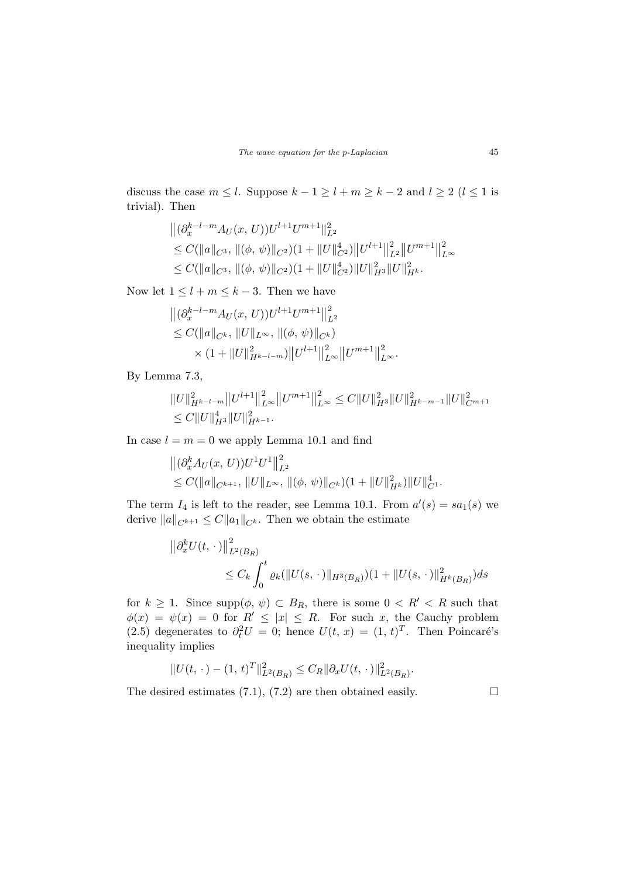discuss the case  $m \leq l$ . Suppose  $k - 1 \geq l + m \geq k - 2$  and  $l \geq 2$   $(l \leq 1$  is trivial). Then

$$
\begin{aligned} &\left\|(\partial_x^{k-l-m} A_U(x,U))U^{l+1}U^{m+1}\right\|_{L^2}^2\\ &\leq C(\|a\|_{C^3},\, \|(\phi,\,\psi)\|_{C^2})(1+\|U\|_{C^2}^4)\|U^{l+1}\|_{L^2}^2\|U^{m+1}\|_{L^\infty}^2\\ &\leq C(\|a\|_{C^3},\, \|(\phi,\,\psi)\|_{C^2})(1+\|U\|_{C^2}^4)\|U\|_{H^3}^2\|U\|_{H^k}^2.\end{aligned}
$$

Now let  $1 \leq l + m \leq k - 3$ . Then we have

$$
\begin{aligned} &\left\|(\partial_x^{k-l-m} A_U(x,U))U^{l+1}U^{m+1}\right\|_{L^2}^2\\ &\leq C(\|a\|_{C^k},\,\|U\|_{L^\infty},\,\|(\phi,\,\psi)\|_{C^k})\\ &\quad\times(1+\|U\|_{H^{k-l-m}}^2)\big\|U^{l+1}\big\|_{L^\infty}^2\big\|U^{m+1}\big\|_{L^\infty}^2.\end{aligned}
$$

By Lemma 7.3,

$$
||U||_{H^{k-l-m}}^2 ||U^{l+1}||_{L^{\infty}}^2 ||U^{m+1}||_{L^{\infty}}^2 \leq C ||U||_{H^3}^2 ||U||_{H^{k-m-1}}^2 ||U||_{C^{m+1}}^2
$$
  

$$
\leq C ||U||_{H^3}^4 ||U||_{H^{k-1}}^2.
$$

In case  $l = m = 0$  we apply Lemma 10.1 and find

$$
\begin{aligned} & \left\| (\partial_x^k A_U(x, U)) U^1 U^1 \right\|_{L^2}^2 \\ &\leq C(\|a\|_{C^{k+1}}, \, \|U\|_{L^\infty}, \, \|\phi, \psi)\|_{C^k})(1 + \|U\|_{H^k}^2) \|U\|_{C^1}^4. \end{aligned}
$$

The term  $I_4$  is left to the reader, see Lemma 10.1. From  $a'(s) = sa_1(s)$  we derive  $||a||_{C^{k+1}} \leq C||a_1||_{C^k}$ . Then we obtain the estimate

$$
\|\partial_x^k U(t,\,\cdot\,)\|_{L^2(B_R)}^2
$$
  

$$
\leq C_k \int_0^t \varrho_k (\|U(s,\,\cdot\,)\|_{H^3(B_R)})(1 + \|U(s,\,\cdot\,)\|_{H^k(B_R)}^2) ds
$$

for  $k \geq 1$ . Since supp $(\phi, \psi) \subset B_R$ , there is some  $0 < R' < R$  such that  $\phi(x) = \psi(x) = 0$  for  $R' \leq |x| \leq R$ . For such x, the Cauchy problem (2.5) degenerates to  $\partial_t^2 U = 0$ ; hence  $U(t, x) = (1, t)^T$ . Then Poincaré's inequality implies

$$
||U(t, \cdot) - (1, t)^{T}||_{L^{2}(B_{R})}^{2} \leq C_{R} ||\partial_{x} U(t, \cdot)||_{L^{2}(B_{R})}^{2}.
$$

The desired estimates (7.1), (7.2) are then obtained easily.  $\Box$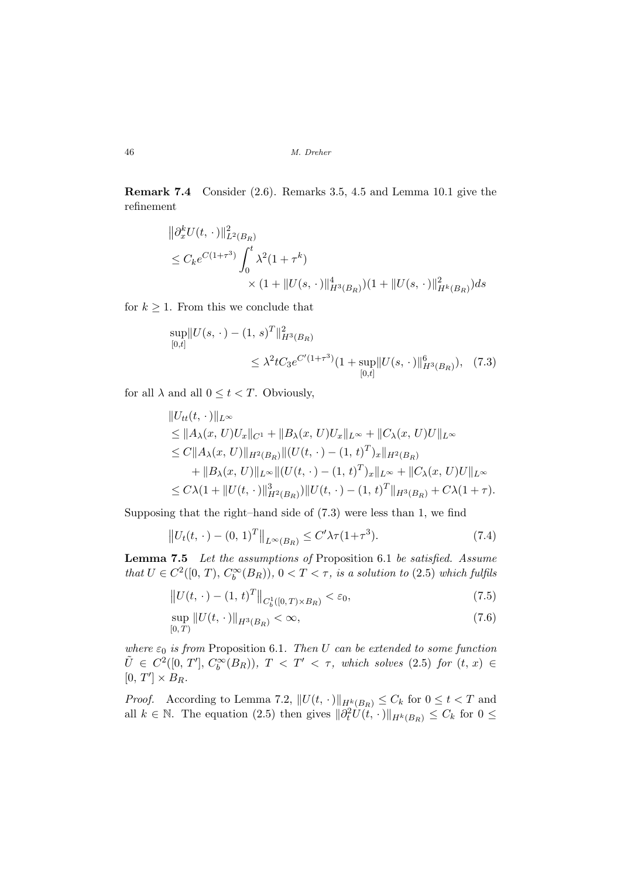Remark 7.4 Consider (2.6). Remarks 3.5, 4.5 and Lemma 10.1 give the refinement

$$
\|\partial_x^k U(t,\,\cdot\,)\|_{L^2(B_R)}^2
$$
  
\n
$$
\leq C_k e^{C(1+\tau^3)} \int_0^t \lambda^2 (1+\tau^k)
$$
  
\n
$$
\times (1+\|U(s,\,\cdot\,)\|_{H^3(B_R)}^4)(1+\|U(s,\,\cdot\,)\|_{H^k(B_R)}^2) ds
$$

for  $k \geq 1$ . From this we conclude that

$$
\sup_{[0,t]} \|U(s,\,\cdot\,) - (1,\,s)^T\|_{H^3(B_R)}^2
$$
  

$$
\leq \lambda^2 t C_3 e^{C'(1+\tau^3)} (1+\sup_{[0,t]} \|U(s,\,\cdot\,)\|_{H^3(B_R)}^6), \quad (7.3)
$$

for all  $\lambda$  and all  $0 \le t < T$ . Obviously,

$$
||U_{tt}(t, \cdot)||_{L^{\infty}}\n\leq ||A_{\lambda}(x, U)U_{x}||_{C^{1}} + ||B_{\lambda}(x, U)U_{x}||_{L^{\infty}} + ||C_{\lambda}(x, U)U||_{L^{\infty}}\n\leq C||A_{\lambda}(x, U)||_{H^{2}(B_{R})}||(U(t, \cdot) - (1, t)^{T})_{x}||_{H^{2}(B_{R})}\n+ ||B_{\lambda}(x, U)||_{L^{\infty}}||(U(t, \cdot) - (1, t)^{T})_{x}||_{L^{\infty}} + ||C_{\lambda}(x, U)U||_{L^{\infty}}\n\leq C\lambda(1 + ||U(t, \cdot)||_{H^{2}(B_{R})}^{3})||U(t, \cdot) - (1, t)^{T}||_{H^{3}(B_{R})} + C\lambda(1 + \tau).
$$

Supposing that the right–hand side of (7.3) were less than 1, we find

$$
||U_t(t, \cdot) - (0, 1)^T||_{L^{\infty}(B_R)} \le C'\lambda \tau (1 + \tau^3).
$$
 (7.4)

Lemma 7.5 Let the assumptions of Proposition 6.1 be satisfied. Assume that  $U \in C^2([0, T), C_b^{\infty}(B_R))$ ,  $0 < T < \tau$ , is a solution to (2.5) which fulfils

$$
||U(t, \cdot) - (1, t)^{T}||_{C_b^1([0, T) \times B_R)} < \varepsilon_0,
$$
\n(7.5)

$$
\sup_{[0,T)} \|U(t,\,\cdot\,)\|_{H^3(B_R)} < \infty,\tag{7.6}
$$

where  $\varepsilon_0$  is from Proposition 6.1. Then U can be extended to some function  $\tilde{U} \in C^2([0, T'], C_b^{\infty}(B_R)), T < T' < \tau$ , which solves (2.5) for  $(t, x) \in$  $[0, T'] \times B_R.$ 

*Proof.* According to Lemma 7.2,  $||U(t, \cdot)||_{H^k(B_R)} \leq C_k$  for  $0 \leq t < T$  and all  $k \in \mathbb{N}$ . The equation (2.5) then gives  $\|\partial_t^2 U(t, \cdot)\|_{H^k(B_R)} \leq C_k$  for  $0 \leq$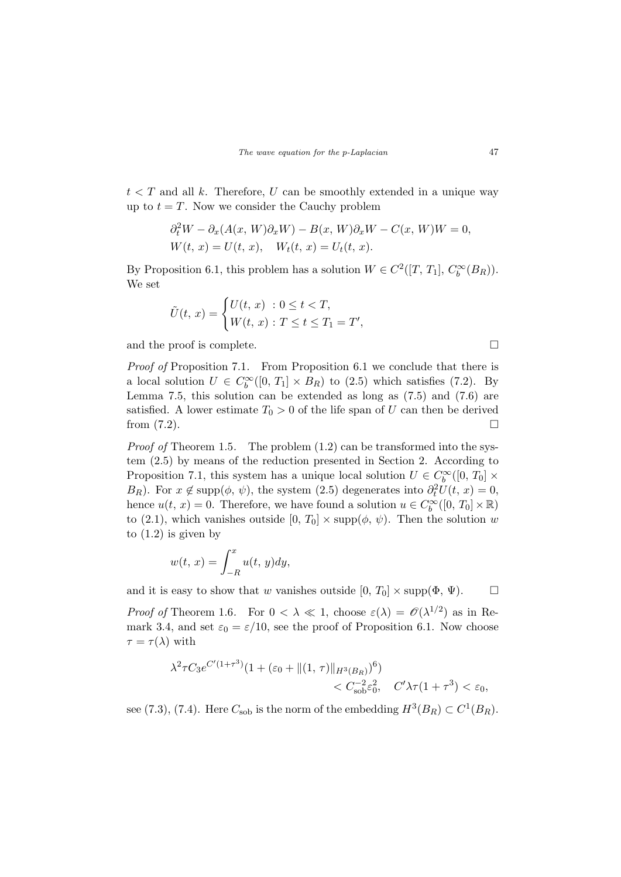$t < T$  and all k. Therefore, U can be smoothly extended in a unique way up to  $t = T$ . Now we consider the Cauchy problem

$$
\partial_t^2 W - \partial_x (A(x, W)\partial_x W) - B(x, W)\partial_x W - C(x, W)W = 0,
$$
  
 
$$
W(t, x) = U(t, x), \quad W_t(t, x) = U_t(t, x).
$$

By Proposition 6.1, this problem has a solution  $W \in C^2([T, T_1], C_b^{\infty}(B_R)).$ We set

$$
\tilde{U}(t, x) = \begin{cases} U(t, x) : 0 \le t < T, \\ W(t, x) : T \le t \le T_1 = T', \end{cases}
$$

and the proof is complete.  $\Box$ 

Proof of Proposition 7.1. From Proposition 6.1 we conclude that there is a local solution  $U \in C_b^{\infty}([0, T_1] \times B_R)$  to  $(2.5)$  which satisfies  $(7.2)$ . By Lemma 7.5, this solution can be extended as long as (7.5) and (7.6) are satisfied. A lower estimate  $T_0 > 0$  of the life span of U can then be derived from  $(7.2)$ .

*Proof of* Theorem 1.5. The problem  $(1.2)$  can be transformed into the system (2.5) by means of the reduction presented in Section 2. According to Proposition 7.1, this system has a unique local solution  $U \in C_b^{\infty}([0, T_0] \times$ B<sub>R</sub>). For  $x \notin \text{supp}(\phi, \psi)$ , the system (2.5) degenerates into  $\partial_t^2 U(t, x) = 0$ , hence  $u(t, x) = 0$ . Therefore, we have found a solution  $u \in C_b^{\infty}([0, T_0] \times \mathbb{R})$ to (2.1), which vanishes outside  $[0, T_0] \times \text{supp}(\phi, \psi)$ . Then the solution w to  $(1.2)$  is given by

$$
w(t, x) = \int_{-R}^{x} u(t, y) dy,
$$

and it is easy to show that w vanishes outside  $[0, T_0] \times \text{supp}(\Phi, \Psi)$ .

*Proof of* Theorem 1.6. For  $0 < \lambda \ll 1$ , choose  $\varepsilon(\lambda) = \mathcal{O}(\lambda^{1/2})$  as in Remark 3.4, and set  $\varepsilon_0 = \varepsilon/10$ , see the proof of Proposition 6.1. Now choose  $\tau = \tau(\lambda)$  with

$$
\lambda^2 \tau C_3 e^{C'(1+\tau^3)} (1 + (\varepsilon_0 + ||(1, \tau)||_{H^3(B_R)})^6) \n< C_{\text{sob}}^{-2} \varepsilon_0^2, \quad C'\lambda \tau (1+\tau^3) < \varepsilon_0,
$$

see (7.3), (7.4). Here  $C_{\text{sob}}$  is the norm of the embedding  $H^3(B_R) \subset C^1(B_R)$ .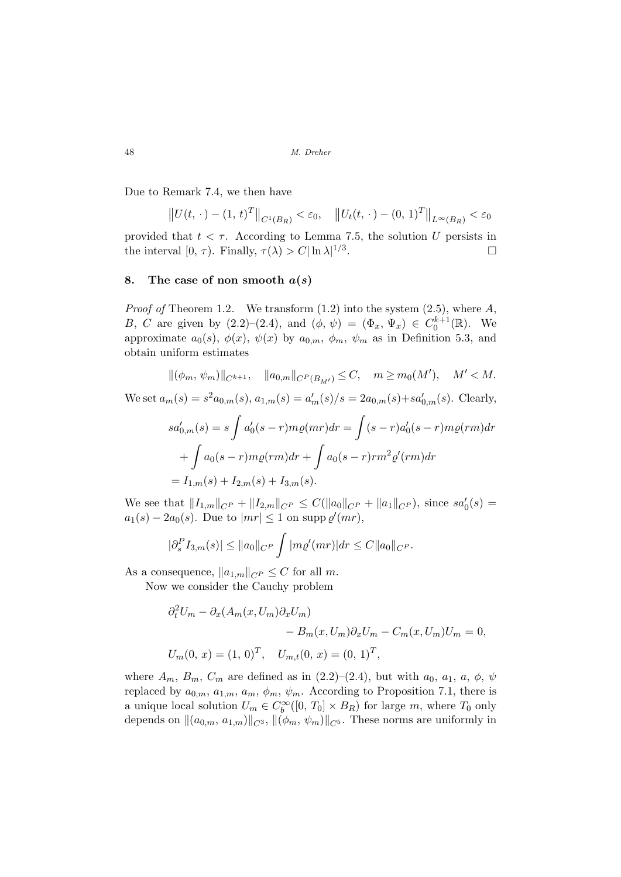Due to Remark 7.4, we then have

$$
||U(t, \cdot) - (1, t)^{T}||_{C^{1}(B_{R})} < \varepsilon_{0}, \quad ||U_{t}(t, \cdot) - (0, 1)^{T}||_{L^{\infty}(B_{R})} < \varepsilon_{0}
$$

provided that  $t < \tau$ . According to Lemma 7.5, the solution U persists in the interval  $[0, \tau)$ . Finally,  $\tau(\lambda) > C |\ln \lambda|^{1/3}$ .  $\Box$ 

### 8. The case of non smooth  $a(s)$

*Proof of* Theorem 1.2. We transform  $(1.2)$  into the system  $(2.5)$ , where A, B, C are given by (2.2)–(2.4), and  $(\phi, \psi) = (\Phi_x, \Psi_x) \in C_0^{k+1}(\mathbb{R})$ . We approximate  $a_0(s)$ ,  $\phi(x)$ ,  $\psi(x)$  by  $a_{0,m}$ ,  $\phi_m$ ,  $\psi_m$  as in Definition 5.3, and obtain uniform estimates

$$
\|(\phi_m, \psi_m)\|_{C^{k+1}}, \quad \|a_{0,m}\|_{C^P(B_{M'})} \le C, \quad m \ge m_0(M'), \quad M' < M.
$$

We set  $a_m(s) = s^2 a_{0,m}(s), a_{1,m}(s) = a'_m(s)/s = 2a_{0,m}(s) + s a'_{0,m}(s)$ . Clearly,

$$
sa'_{0,m}(s) = s \int a'_0(s-r)m\varrho(mr)dr = \int (s-r)a'_0(s-r)m\varrho(rm)dr
$$
  
+ 
$$
\int a_0(s-r)m\varrho(rm)dr + \int a_0(s-r)rm^2\varrho'(rm)dr
$$
  
=  $I_{1,m}(s) + I_{2,m}(s) + I_{3,m}(s).$ 

We see that  $||I_{1,m}||_{C^P} + ||I_{2,m}||_{C^P} \leq C(||a_0||_{C^P} + ||a_1||_{C^P})$ , since  $sa'_0(s) =$  $a_1(s) - 2a_0(s)$ . Due to  $|mr| \leq 1$  on supp  $\varrho'(mr)$ ,

$$
|\partial_s^P I_{3,m}(s)| \le ||a_0||_{C^P} \int |m\varrho'(mr)| dr \le C ||a_0||_{C^P}.
$$

As a consequence,  $||a_{1,m}||_{C^P} \leq C$  for all m.

Now we consider the Cauchy problem

$$
\partial_t^2 U_m - \partial_x (A_m(x, U_m) \partial_x U_m)
$$
  
-  $B_m(x, U_m) \partial_x U_m - C_m(x, U_m) U_m = 0,$   
 $U_m(0, x) = (1, 0)^T, \quad U_{m,t}(0, x) = (0, 1)^T,$ 

where  $A_m$ ,  $B_m$ ,  $C_m$  are defined as in (2.2)–(2.4), but with  $a_0$ ,  $a_1$ ,  $a$ ,  $\phi$ ,  $\psi$ replaced by  $a_{0,m}$ ,  $a_{1,m}$ ,  $a_m$ ,  $\phi_m$ ,  $\psi_m$ . According to Proposition 7.1, there is a unique local solution  $U_m \in C_b^{\infty}([0, T_0] \times B_R)$  for large m, where  $T_0$  only depends on  $\|(a_{0,m}, a_{1,m})\|_{C^3}$ ,  $\|(\phi_m, \psi_m)\|_{C^5}$ . These norms are uniformly in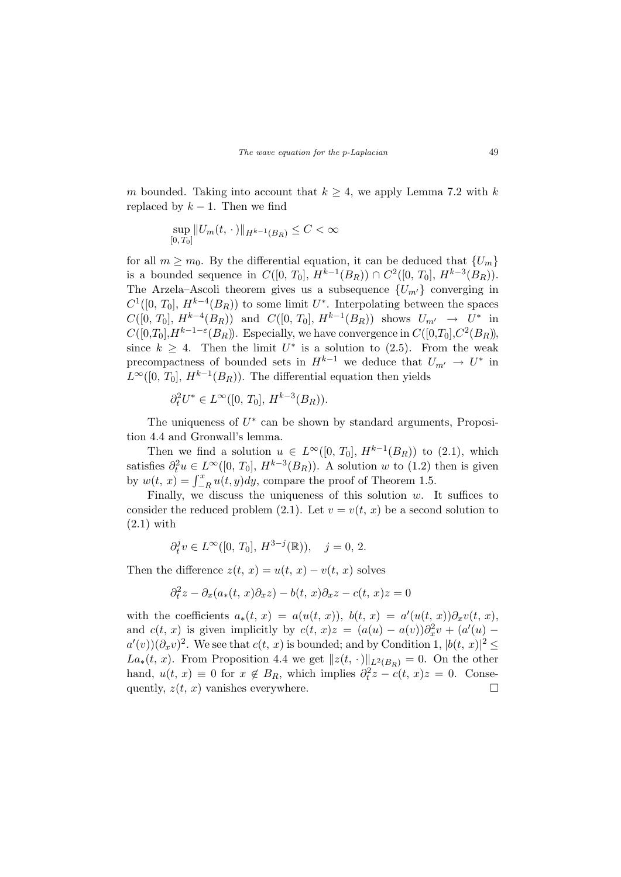m bounded. Taking into account that  $k \geq 4$ , we apply Lemma 7.2 with k replaced by  $k - 1$ . Then we find

$$
\sup_{[0,T_0]} \|U_m(t,\,\cdot\,)\|_{H^{k-1}(B_R)} \leq C < \infty
$$

for all  $m \geq m_0$ . By the differential equation, it can be deduced that  $\{U_m\}$ is a bounded sequence in  $C([0, T_0], H^{k-1}(B_R)) \cap C^2([0, T_0], H^{k-3}(B_R)).$ The Arzela–Ascoli theorem gives us a subsequence  ${U_{m'} }$  converging in  $C^1([0, T_0], H^{k-4}(B_R))$  to some limit  $U^*$ . Interpolating between the spaces  $C([0, T_0], H^{k-4}(B_R))$  and  $C([0, T_0], H^{k-1}(B_R))$  shows  $U_{m'} \to U^*$  in  $C([0,T_0], H^{k-1-\varepsilon}(B_R))$ . Especially, we have convergence in  $C([0,T_0], C^2(B_R))$ , since  $k \geq 4$ . Then the limit  $U^*$  is a solution to (2.5). From the weak precompactness of bounded sets in  $H^{k-1}$  we deduce that  $U_{m'} \to U^*$  in  $L^{\infty}([0, T_0], H^{k-1}(B_R)).$  The differential equation then yields

$$
\partial_t^2 U^* \in L^\infty([0, T_0], H^{k-3}(B_R)).
$$

The uniqueness of  $U^*$  can be shown by standard arguments, Proposition 4.4 and Gronwall's lemma.

Then we find a solution  $u \in L^{\infty}([0, T_0], H^{k-1}(B_R))$  to  $(2.1)$ , which satisfies  $\partial_t^2 u \in L^{\infty}([0, T_0], H^{k-3}(B_R))$ . A solution w to (1.2) then is given sausies  $v_t u \in L$  ([0, 10],  $H$  ( $D_R$ )). A solution w to (1.2) by  $w(t, x) = \int_{-R}^{x} u(t, y) dy$ , compare the proof of Theorem 1.5.

Finally, we discuss the uniqueness of this solution  $w$ . It suffices to consider the reduced problem (2.1). Let  $v = v(t, x)$  be a second solution to  $(2.1)$  with

$$
\partial_t^j v \in L^{\infty}([0, T_0], H^{3-j}(\mathbb{R})), \quad j = 0, 2.
$$

Then the difference  $z(t, x) = u(t, x) - v(t, x)$  solves

$$
\partial_t^2 z - \partial_x(a_*(t, x)\partial_x z) - b(t, x)\partial_x z - c(t, x)z = 0
$$

with the coefficients  $a_*(t, x) = a(u(t, x))$ ,  $b(t, x) = a'(u(t, x))\partial_x v(t, x)$ , and  $c(t, x)$  is given implicitly by  $c(t, x)z = (a(u) - a(v))\partial_x^2 v + (a'(u) - a(v))\partial_x^2 v$  $a'(v)(\partial_x v)^2$ . We see that  $c(t, x)$  is bounded; and by Condition 1,  $|b(t, x)|^2 \le$ La<sub>∗</sub>(t, x). From Proposition 4.4 we get  $||z(t, \cdot)||_{L^2(B_R)} = 0$ . On the other hand,  $u(t, x) \equiv 0$  for  $x \notin B_R$ , which implies  $\partial_t^2 z - c(t, x)z = 0$ . Consequently,  $z(t, x)$  vanishes everywhere.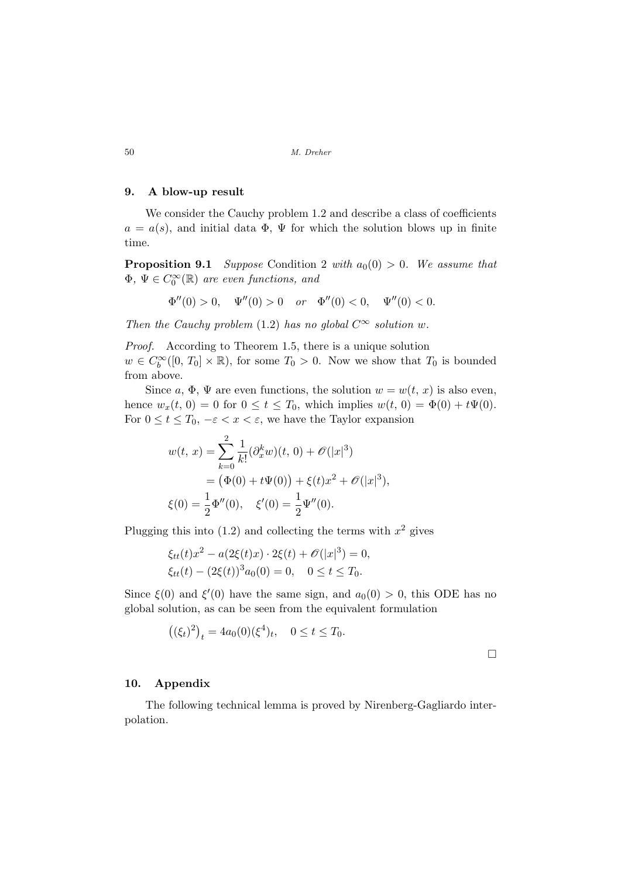### 9. A blow-up result

We consider the Cauchy problem 1.2 and describe a class of coefficients  $a = a(s)$ , and initial data  $\Phi$ ,  $\Psi$  for which the solution blows up in finite time.

**Proposition 9.1** Suppose Condition 2 with  $a_0(0) > 0$ . We assume that  $\Phi, \Psi \in C_0^{\infty}(\mathbb{R})$  are even functions, and

$$
\Phi''(0) > 0, \quad \Psi''(0) > 0 \quad or \quad \Phi''(0) < 0, \quad \Psi''(0) < 0.
$$

Then the Cauchy problem (1.2) has no global  $C^{\infty}$  solution w.

Proof. According to Theorem 1.5, there is a unique solution  $w \in C_b^{\infty}([0, T_0] \times \mathbb{R})$ , for some  $T_0 > 0$ . Now we show that  $T_0$  is bounded from above.

Since a,  $\Phi$ ,  $\Psi$  are even functions, the solution  $w = w(t, x)$  is also even, hence  $w_x(t, 0) = 0$  for  $0 \le t \le T_0$ , which implies  $w(t, 0) = \Phi(0) + t\Psi(0)$ . For  $0 \le t \le T_0$ ,  $-\varepsilon < x < \varepsilon$ , we have the Taylor expansion

$$
w(t, x) = \sum_{k=0}^{2} \frac{1}{k!} (\partial_x^k w)(t, 0) + \mathcal{O}(|x|^3)
$$
  
=  $(\Phi(0) + t\Psi(0)) + \xi(t)x^2 + \mathcal{O}(|x|^3),$   
 $\xi(0) = \frac{1}{2}\Phi''(0), \quad \xi'(0) = \frac{1}{2}\Psi''(0).$ 

Plugging this into  $(1.2)$  and collecting the terms with  $x^2$  gives

$$
\xi_{tt}(t)x^2 - a(2\xi(t)x) \cdot 2\xi(t) + \mathcal{O}(|x|^3) = 0,
$$
  
\n
$$
\xi_{tt}(t) - (2\xi(t))^3 a_0(0) = 0, \quad 0 \le t \le T_0.
$$

Since  $\xi(0)$  and  $\xi'(0)$  have the same sign, and  $a_0(0) > 0$ , this ODE has no global solution, as can be seen from the equivalent formulation

$$
((\xi_t)^2)_t = 4a_0(0)(\xi^4)_t, \quad 0 \le t \le T_0.
$$

 $\Box$ 

#### 10. Appendix

The following technical lemma is proved by Nirenberg-Gagliardo interpolation.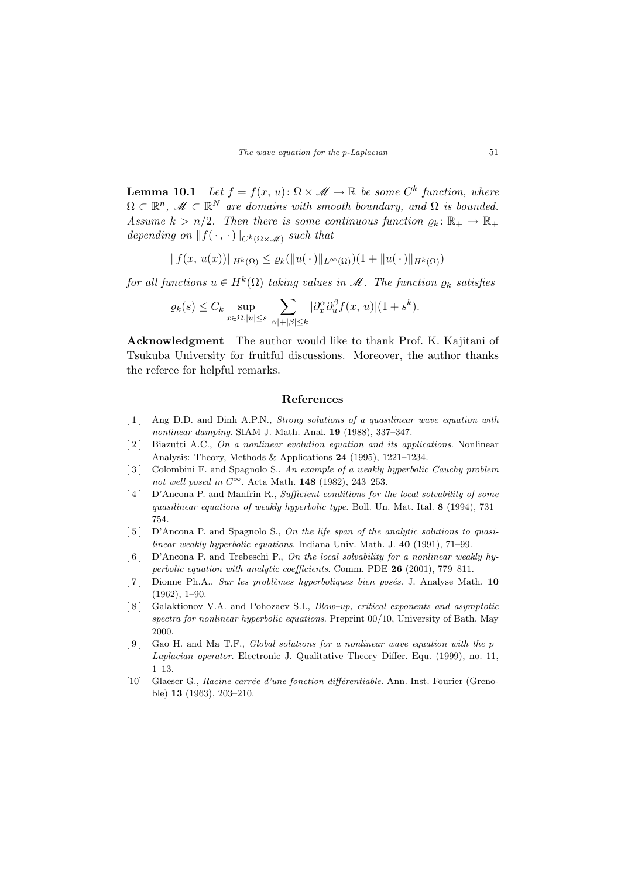**Lemma 10.1** Let  $f = f(x, u): \Omega \times \mathcal{M} \to \mathbb{R}$  be some  $C^k$  function, where  $\Omega \subset \mathbb{R}^n$ ,  $\mathscr{M} \subset \mathbb{R}^N$  are domains with smooth boundary, and  $\Omega$  is bounded. Assume  $k > n/2$ . Then there is some continuous function  $\varrho_k : \mathbb{R}_+ \to \mathbb{R}_+$ depending on  $||f(\cdot, \cdot)||_{C^k(\Omega \times \mathcal{M})}$  such that

$$
|| f(x, u(x)) ||_{H^k(\Omega)} \leq \varrho_k(||u(\cdot)||_{L^{\infty}(\Omega)})(1 + ||u(\cdot)||_{H^k(\Omega)})
$$

for all functions  $u \in H^k(\Omega)$  taking values in  $\mathscr M$ . The function  $\varrho_k$  satisfies

$$
\varrho_k(s) \leq C_k \sup_{x \in \Omega, |u| \leq s} \sum_{|\alpha| + |\beta| \leq k} |\partial_x^{\alpha} \partial_u^{\beta} f(x, u)| (1 + s^k).
$$

Acknowledgment The author would like to thank Prof. K. Kajitani of Tsukuba University for fruitful discussions. Moreover, the author thanks the referee for helpful remarks.

#### References

- [1] Ang D.D. and Dinh A.P.N., *Strong solutions of a quasilinear wave equation with* nonlinear damping. SIAM J. Math. Anal. 19 (1988), 337–347.
- [2] Biazutti A.C., On a nonlinear evolution equation and its applications. Nonlinear Analysis: Theory, Methods & Applications 24 (1995), 1221–1234.
- [3] Colombini F. and Spagnolo S., An example of a weakly hyperbolic Cauchy problem not well posed in  $C^{\infty}$ . Acta Math. 148 (1982), 243-253.
- [4] D'Ancona P. and Manfrin R., Sufficient conditions for the local solvability of some quasilinear equations of weakly hyperbolic type. Boll. Un. Mat. Ital. 8 (1994), 731– 754.
- [5] D'Ancona P. and Spagnolo S., On the life span of the analytic solutions to quasilinear weakly hyperbolic equations. Indiana Univ. Math. J. 40 (1991), 71–99.
- $\lceil 6 \rceil$  D'Ancona P. and Trebeschi P., On the local solvability for a nonlinear weakly hyperbolic equation with analytic coefficients. Comm. PDE 26 (2001), 779–811.
- $\lceil 7 \rceil$  Dionne Ph.A., Sur les problèmes hyperboliques bien posés. J. Analyse Math. 10 (1962), 1–90.
- [ 8 ] Galaktionov V.A. and Pohozaev S.I., Blow–up, critical exponents and asymptotic spectra for nonlinear hyperbolic equations. Preprint 00/10, University of Bath, May 2000.
- [9] Gao H. and Ma T.F., *Global solutions for a nonlinear wave equation with the p* Laplacian operator. Electronic J. Qualitative Theory Differ. Equ. (1999), no. 11,  $1-13.$
- [10] Glaeser G., Racine carrée d'une fonction différentiable. Ann. Inst. Fourier (Grenoble) 13 (1963), 203–210.